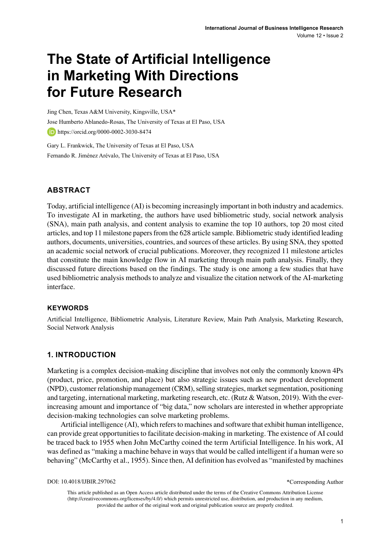# **The State of Artificial Intelligence in Marketing With Directions for Future Research**

Jing Chen, Texas A&M University, Kingsville, USA\* Jose Humberto Ablanedo-Rosas, The University of Texas at El Paso, USA **https://orcid.org/0000-0002-3030-8474** 

Gary L. Frankwick, The University of Texas at El Paso, USA Fernando R. Jiménez Arévalo, The University of Texas at El Paso, USA

# **ABSTRACT**

Today, artificial intelligence (AI) is becoming increasingly important in both industry and academics. To investigate AI in marketing, the authors have used bibliometric study, social network analysis (SNA), main path analysis, and content analysis to examine the top 10 authors, top 20 most cited articles, and top 11 milestone papers from the 628 article sample. Bibliometric study identified leading authors, documents, universities, countries, and sources of these articles. By using SNA, they spotted an academic social network of crucial publications. Moreover, they recognized 11 milestone articles that constitute the main knowledge flow in AI marketing through main path analysis. Finally, they discussed future directions based on the findings. The study is one among a few studies that have used bibliometric analysis methods to analyze and visualize the citation network of the AI-marketing interface.

## **Keywords**

Artificial Intelligence, Bibliometric Analysis, Literature Review, Main Path Analysis, Marketing Research, Social Network Analysis

# **1. INTRODUCTION**

Marketing is a complex decision-making discipline that involves not only the commonly known 4Ps (product, price, promotion, and place) but also strategic issues such as new product development (NPD), customer relationship management (CRM), selling strategies, market segmentation, positioning and targeting, international marketing, marketing research, etc. (Rutz & Watson, 2019). With the everincreasing amount and importance of "big data," now scholars are interested in whether appropriate decision-making technologies can solve marketing problems.

Artificial intelligence (AI), which refers to machines and software that exhibit human intelligence, can provide great opportunities to facilitate decision-making in marketing. The existence of AI could be traced back to 1955 when John McCarthy coined the term Artificial Intelligence. In his work, AI was defined as "making a machine behave in ways that would be called intelligent if a human were so behaving" (McCarthy et al., 1955). Since then, AI definition has evolved as "manifested by machines

DOI: 10.4018/IJBIR.297062

\*Corresponding Author

This article published as an Open Access article distributed under the terms of the Creative Commons Attribution License (http://creativecommons.org/licenses/by/4.0/) which permits unrestricted use, distribution, and production in any medium, provided the author of the original work and original publication source are properly credited.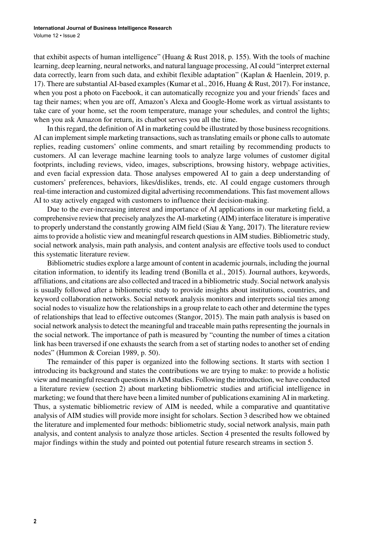that exhibit aspects of human intelligence" (Huang & Rust 2018, p. 155). With the tools of machine learning, deep learning, neural networks, and natural language processing, AI could "interpret external data correctly, learn from such data, and exhibit flexible adaptation" (Kaplan & Haenlein, 2019, p. 17). There are substantial AI-based examples (Kumar et al., 2016, Huang & Rust, 2017). For instance, when you post a photo on Facebook, it can automatically recognize you and your friends' faces and tag their names; when you are off, Amazon's Alexa and Google-Home work as virtual assistants to take care of your home, set the room temperature, manage your schedules, and control the lights; when you ask Amazon for return, its chatbot serves you all the time.

In this regard, the definition of AI in marketing could be illustrated by those business recognitions. AI can implement simple marketing transactions, such as translating emails or phone calls to automate replies, reading customers' online comments, and smart retailing by recommending products to customers. AI can leverage machine learning tools to analyze large volumes of customer digital footprints, including reviews, video, images, subscriptions, browsing history, webpage activities, and even facial expression data. Those analyses empowered AI to gain a deep understanding of customers' preferences, behaviors, likes/dislikes, trends, etc. AI could engage customers through real-time interaction and customized digital advertising recommendations. This fast movement allows AI to stay actively engaged with customers to influence their decision-making.

Due to the ever-increasing interest and importance of AI applications in our marketing field, a comprehensive review that precisely analyzes the AI-marketing (AIM) interface literature is imperative to properly understand the constantly growing AIM field (Siau & Yang, 2017). The literature review aims to provide a holistic view and meaningful research questions in AIM studies. Bibliometric study, social network analysis, main path analysis, and content analysis are effective tools used to conduct this systematic literature review.

Bibliometric studies explore a large amount of content in academic journals, including the journal citation information, to identify its leading trend (Bonilla et al., 2015). Journal authors, keywords, affiliations, and citations are also collected and traced in a bibliometric study. Social network analysis is usually followed after a bibliometric study to provide insights about institutions, countries, and keyword collaboration networks. Social network analysis monitors and interprets social ties among social nodes to visualize how the relationships in a group relate to each other and determine the types of relationships that lead to effective outcomes (Stangor, 2015). The main path analysis is based on social network analysis to detect the meaningful and traceable main paths representing the journals in the social network. The importance of path is measured by "counting the number of times a citation link has been traversed if one exhausts the search from a set of starting nodes to another set of ending nodes" (Hummon & Coreian 1989, p. 50).

The remainder of this paper is organized into the following sections. It starts with section 1 introducing its background and states the contributions we are trying to make: to provide a holistic view and meaningful research questions in AIM studies. Following the introduction, we have conducted a literature review (section 2) about marketing bibliometric studies and artificial intelligence in marketing; we found that there have been a limited number of publications examining AI in marketing. Thus, a systematic bibliometric review of AIM is needed, while a comparative and quantitative analysis of AIM studies will provide more insight for scholars. Section 3 described how we obtained the literature and implemented four methods: bibliometric study, social network analysis, main path analysis, and content analysis to analyze those articles. Section 4 presented the results followed by major findings within the study and pointed out potential future research streams in section 5.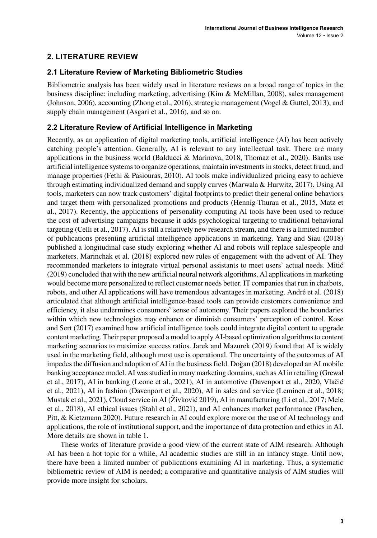# **2. LITERATURE REVIEW**

# **2.1 Literature Review of Marketing Bibliometric Studies**

Bibliometric analysis has been widely used in literature reviews on a broad range of topics in the business discipline: including marketing, advertising (Kim & McMillan, 2008), sales management (Johnson, 2006), accounting (Zhong et al., 2016), strategic management (Vogel & Guttel, 2013), and supply chain management (Asgari et al., 2016), and so on.

# **2.2 Literature Review of Artificial Intelligence in Marketing**

Recently, as an application of digital marketing tools, artificial intelligence (AI) has been actively catching people's attention. Generally, AI is relevant to any intellectual task. There are many applications in the business world (Balducci & Marinova, 2018, Thomaz et al., 2020). Banks use artificial intelligence systems to organize operations, maintain investments in stocks, detect fraud, and manage properties (Fethi & Pasiouras, 2010). AI tools make individualized pricing easy to achieve through estimating individualized demand and supply curves (Marwala & Hurwitz, 2017). Using AI tools, marketers can now track customers' digital footprints to predict their general online behaviors and target them with personalized promotions and products (Hennig-Thurau et al., 2015, Matz et al., 2017). Recently, the applications of personality computing AI tools have been used to reduce the cost of advertising campaigns because it adds psychological targeting to traditional behavioral targeting (Celli et al., 2017). AI is still a relatively new research stream, and there is a limited number of publications presenting artificial intelligence applications in marketing. Yang and Siau (2018) published a longitudinal case study exploring whether AI and robots will replace salespeople and marketers. Marinchak et al. (2018) explored new rules of engagement with the advent of AI. They recommended marketers to integrate virtual personal assistants to meet users' actual needs. Mitić (2019) concluded that with the new artificial neural network algorithms, AI applications in marketing would become more personalized to reflect customer needs better. IT companies that run in chatbots, robots, and other AI applications will have tremendous advantages in marketing. André et al. (2018) articulated that although artificial intelligence-based tools can provide customers convenience and efficiency, it also undermines consumers' sense of autonomy. Their papers explored the boundaries within which new technologies may enhance or diminish consumers' perception of control. Kose and Sert (2017) examined how artificial intelligence tools could integrate digital content to upgrade content marketing. Their paper proposed a model to apply AI-based optimization algorithms to content marketing scenarios to maximize success ratios. Jarek and Mazurek (2019) found that AI is widely used in the marketing field, although most use is operational. The uncertainty of the outcomes of AI impedes the diffusion and adoption of AI in the business field. Doğan (2018) developed an AI mobile banking acceptance model. AI was studied in many marketing domains, such as AI in retailing (Grewal et al., 2017), AI in banking (Leone et al., 2021), AI in automotive (Davenport et al., 2020, Vlačić et al., 2021), AI in fashion (Davenport et al., 2020), AI in sales and service (Leminen et al., 2018; Mustak et al., 2021), Cloud service in AI (Živković 2019), AI in manufacturing (Li et al., 2017; Mele et al., 2018), AI ethical issues (Stahl et al., 2021), and AI enhances market performance (Paschen, Pitt, & Kietzmann 2020). Future research in AI could explore more on the use of AI technology and applications, the role of institutional support, and the importance of data protection and ethics in AI. More details are shown in table 1.

These works of literature provide a good view of the current state of AIM research. Although AI has been a hot topic for a while, AI academic studies are still in an infancy stage. Until now, there have been a limited number of publications examining AI in marketing. Thus, a systematic bibliometric review of AIM is needed; a comparative and quantitative analysis of AIM studies will provide more insight for scholars.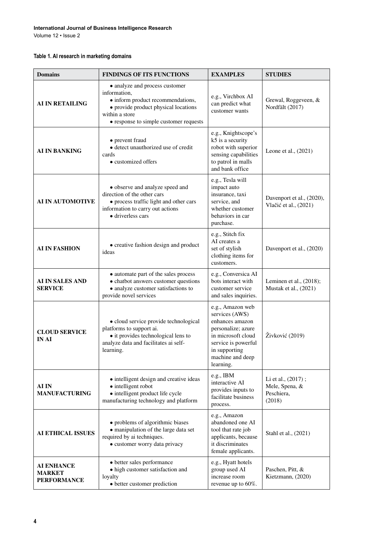#### **International Journal of Business Intelligence Research**

Volume 12 • Issue 2

## **Table 1. AI research in marketing domains**

| <b>Domains</b>                                                                                                                                                                               | <b>FINDINGS OF ITS FUNCTIONS</b>                                                                                                                                                        | <b>EXAMPLES</b>                                                                                                                 | <b>STUDIES</b>                                               |
|----------------------------------------------------------------------------------------------------------------------------------------------------------------------------------------------|-----------------------------------------------------------------------------------------------------------------------------------------------------------------------------------------|---------------------------------------------------------------------------------------------------------------------------------|--------------------------------------------------------------|
| <b>AI IN RETAILING</b>                                                                                                                                                                       | • analyze and process customer<br>information,<br>• inform product recommendations,<br>• provide product physical locations<br>within a store<br>• response to simple customer requests | e.g., Virchbox AI<br>can predict what<br>customer wants                                                                         | Grewal, Roggeveen, &<br>Nordfält (2017)                      |
| <b>AI IN BANKING</b>                                                                                                                                                                         | • prevent fraud<br>• detect unauthorized use of credit<br>cards<br>• customized offers                                                                                                  | e.g., Knightscope's<br>k5 is a security<br>robot with superior<br>sensing capabilities<br>to patrol in malls<br>and bank office | Leone et al., (2021)                                         |
| • observe and analyze speed and<br>direction of the other cars<br><b>AI IN AUTOMOTIVE</b><br>• process traffic light and other cars<br>information to carry out actions<br>· driverless cars |                                                                                                                                                                                         | e.g., Tesla will<br>impact auto<br>insurance, taxi<br>service, and<br>whether customer<br>behaviors in car<br>purchase.         | Davenport et al., (2020),<br>Vlačić et al., (2021)           |
| AI IN FASHION                                                                                                                                                                                | • creative fashion design and product<br>ideas                                                                                                                                          | e.g., Stitch fix<br>AI creates a<br>set of stylish<br>clothing items for<br>customers.                                          | Davenport et al., (2020)                                     |
| • automate part of the sales process<br>• chatbot answers customer questions<br>AI IN SALES AND<br>• analyze customer satisfactions to<br><b>SERVICE</b><br>provide novel services           |                                                                                                                                                                                         | e.g., Conversica AI<br>bots interact with<br>customer service<br>and sales inquiries.                                           | Leminen et al., $(2018)$ ;<br>Mustak et al., (2021)          |
| <b>CLOUD SERVICE</b><br><b>IN AI</b>                                                                                                                                                         | • cloud service provide technological<br>platforms to support ai.<br>• it provides technological lens to<br>analyze data and facilitates ai self-<br>learning.                          |                                                                                                                                 | Živković (2019)                                              |
| · intelligent design and creative ideas<br>· intelligent robot<br>AI IN<br>· intelligent product life cycle<br><b>MANUFACTURING</b><br>manufacturing technology and platform                 |                                                                                                                                                                                         | e.g., IBM<br>interactive AI<br>provides inputs to<br>facilitate business<br>process.                                            | Li et al., (2017);<br>Mele, Spena, &<br>Peschiera,<br>(2018) |
| • problems of algorithmic biases<br>• manipulation of the large data set<br><b>AI ETHICAL ISSUES</b><br>required by ai techniques.<br>· customer worry data privacy                          |                                                                                                                                                                                         | e.g., Amazon<br>abandoned one AI<br>tool that rate job<br>applicants, because<br>it discriminates<br>female applicants.         | Stahl et al., (2021)                                         |
| <b>AI ENHANCE</b><br><b>MARKET</b><br><b>PERFORMANCE</b>                                                                                                                                     | • better sales performance<br>• high customer satisfaction and<br>loyalty<br>• better customer prediction                                                                               | e.g., Hyatt hotels<br>group used AI<br>increase room<br>revenue up to 60%.                                                      | Paschen, Pitt, &<br>Kietzmann, (2020)                        |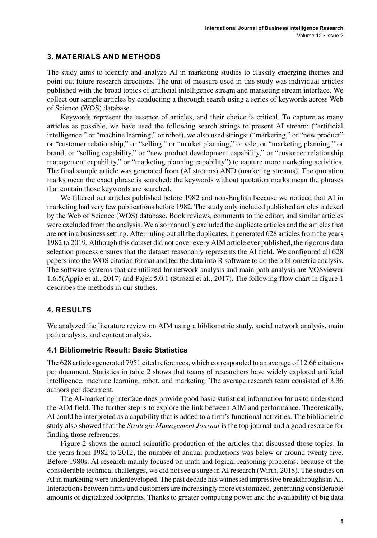# **3. MATERIALS AND METHODS**

The study aims to identify and analyze AI in marketing studies to classify emerging themes and point out future research directions. The unit of measure used in this study was individual articles published with the broad topics of artificial intelligence stream and marketing stream interface. We collect our sample articles by conducting a thorough search using a series of keywords across Web of Science (WOS) database.

Keywords represent the essence of articles, and their choice is critical. To capture as many articles as possible, we have used the following search strings to present AI stream: ("artificial intelligence," or "machine learning," or robot), we also used strings: ("marketing," or "new product" or "customer relationship," or "selling," or "market planning," or sale, or "marketing planning," or brand, or "selling capability," or "new product development capability," or "customer relationship management capability," or "marketing planning capability") to capture more marketing activities. The final sample article was generated from (AI streams) AND (marketing streams). The quotation marks mean the exact phrase is searched; the keywords without quotation marks mean the phrases that contain those keywords are searched.

We filtered out articles published before 1982 and non-English because we noticed that AI in marketing had very few publications before 1982. The study only included published articles indexed by the Web of Science (WOS) database. Book reviews, comments to the editor, and similar articles were excluded from the analysis. We also manually excluded the duplicate articles and the articles that are not in a business setting. After ruling out all the duplicates, it generated 628 articles from the years 1982 to 2019. Although this dataset did not cover every AIM article ever published, the rigorous data selection process ensures that the dataset reasonably represents the AI field. We configured all 628 papers into the WOS citation format and fed the data into R software to do the bibliometric analysis. The software systems that are utilized for network analysis and main path analysis are VOSviewer 1.6.5(Appio et al., 2017) and Pajek 5.0.1 (Strozzi et al., 2017). The following flow chart in figure 1 describes the methods in our studies.

# **4. RESULTS**

We analyzed the literature review on AIM using a bibliometric study, social network analysis, main path analysis, and content analysis.

## **4.1 Bibliometric Result: Basic Statistics**

The 628 articles generated 7951 cited references, which corresponded to an average of 12.66 citations per document. Statistics in table 2 shows that teams of researchers have widely explored artificial intelligence, machine learning, robot, and marketing. The average research team consisted of 3.36 authors per document.

The AI-marketing interface does provide good basic statistical information for us to understand the AIM field. The further step is to explore the link between AIM and performance. Theoretically, AI could be interpreted as a capability that is added to a firm's functional activities. The bibliometric study also showed that the *Strategic Management Journal* is the top journal and a good resource for finding those references.

Figure 2 shows the annual scientific production of the articles that discussed those topics. In the years from 1982 to 2012, the number of annual productions was below or around twenty-five. Before 1980s, AI research mainly focused on math and logical reasoning problems; because of the considerable technical challenges, we did not see a surge in AI research (Wirth, 2018). The studies on AI in marketing were underdeveloped. The past decade has witnessed impressive breakthroughs in AI. Interactions between firms and customers are increasingly more customized, generating considerable amounts of digitalized footprints. Thanks to greater computing power and the availability of big data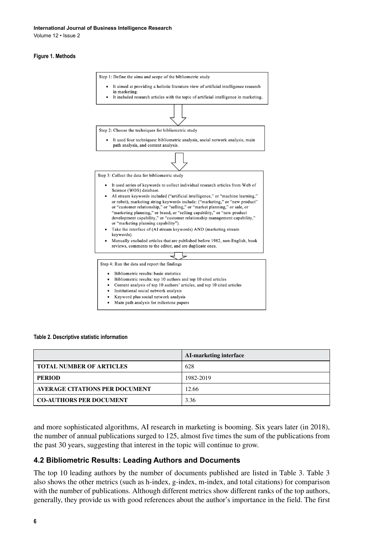Volume 12 • Issue 2

#### **Figure 1. Methods**



#### **Table 2. Descriptive statistic information**

|                                       | AI-marketing interface |
|---------------------------------------|------------------------|
| <b>TOTAL NUMBER OF ARTICLES</b>       | 628                    |
| <b>PERIOD</b>                         | 1982-2019              |
| <b>AVERAGE CITATIONS PER DOCUMENT</b> | 12.66                  |
| <b>CO-AUTHORS PER DOCUMENT</b>        | 3.36                   |

and more sophisticated algorithms, AI research in marketing is booming. Six years later (in 2018), the number of annual publications surged to 125, almost five times the sum of the publications from the past 30 years, suggesting that interest in the topic will continue to grow.

#### **4.2 Bibliometric Results: Leading Authors and Documents**

The top 10 leading authors by the number of documents published are listed in Table 3. Table 3 also shows the other metrics (such as h-index, g-index, m-index, and total citations) for comparison with the number of publications. Although different metrics show different ranks of the top authors, generally, they provide us with good references about the author's importance in the field. The first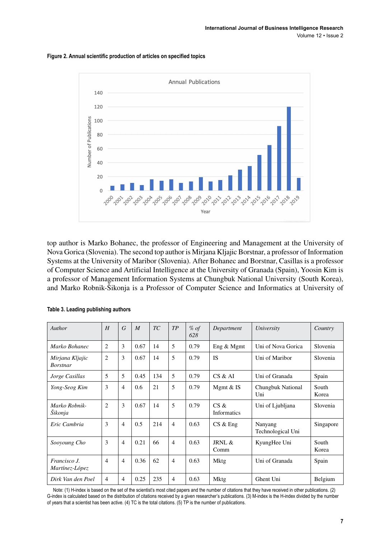



top author is Marko Bohanec, the professor of Engineering and Management at the University of Nova Gorica (Slovenia). The second top author is Mirjana Kljajic Borstnar, a professor of Information Systems at the University of Maribor (Slovenia). After Bohanec and Borstnar, Casillas is a professor of Computer Science and Artificial Intelligence at the University of Granada (Spain), Yoosin Kim is a professor of Management Information Systems at Chungbuk National University (South Korea), and Marko Robnik-Šikonja is a Professor of Computer Science and Informatics at University of

| Author                             | H              | G              | $\overline{M}$ | TC  | TP             | $%$ of<br>628 | Department             | University                   | Country        |
|------------------------------------|----------------|----------------|----------------|-----|----------------|---------------|------------------------|------------------------------|----------------|
| Marko Bohanec                      | 2              | 3              | 0.67           | 14  | 5              | 0.79          | Eng $&$ Mgmt           | Uni of Nova Gorica           | Slovenia       |
| Mirjana Kljajic<br><b>Borstnar</b> | 2              | 3              | 0.67           | 14  | 5              | 0.79          | <b>IS</b>              | Uni of Maribor               | Slovenia       |
| Jorge Casillas                     | 5              | 5              | 0.45           | 134 | 5              | 0.79          | CS & A                 | Uni of Granada               | Spain          |
| Yong-Seog Kim                      | 3              | $\overline{4}$ | 0.6            | 21  | 5              | 0.79          | Mgmt $&$ IS            | Chungbuk National<br>Uni     | South<br>Korea |
| Marko Robnik-<br>Šikonja           | $\overline{c}$ | 3              | 0.67           | 14  | 5              | 0.79          | $CS \&$<br>Informatics | Uni of Ljubljana             | Slovenia       |
| Eric Cambria                       | 3              | $\overline{4}$ | 0.5            | 214 | $\overline{4}$ | 0.63          | CS & Eng               | Nanyang<br>Technological Uni | Singapore      |
| Sooyoung Cho                       | 3              | $\overline{4}$ | 0.21           | 66  | $\overline{4}$ | 0.63          | JRNI. &<br>Comm        | KyungHee Uni                 | South<br>Korea |
| Francisco J.<br>Martínez-López     | $\overline{4}$ | $\overline{4}$ | 0.36           | 62  | $\overline{4}$ | 0.63          | <b>Mktg</b>            | Uni of Granada               | Spain          |
| Dirk Van den Poel                  | $\overline{4}$ | 4              | 0.25           | 235 | $\overline{4}$ | 0.63          | Mktg                   | Ghent Uni                    | Belgium        |

#### **Table 3. Leading publishing authors**

Note: (1) H-index is based on the set of the scientist's most cited papers and the number of citations that they have received in other publications. (2) G-index is calculated based on the distribution of citations received by a given researcher's publications. (3) M-index is the H-index divided by the number of years that a scientist has been active. (4) TC is the total citations. (5) TP is the number of publications.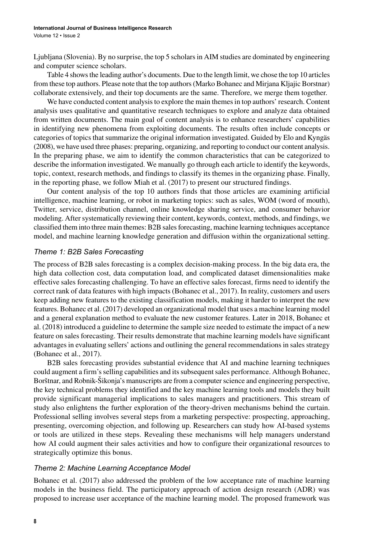Ljubljana (Slovenia). By no surprise, the top 5 scholars in AIM studies are dominated by engineering and computer science scholars.

Table 4 shows the leading author's documents. Due to the length limit, we chose the top 10 articles from these top authors. Please note that the top authors (Marko Bohanec and Mirjana Kljajic Borstnar) collaborate extensively, and their top documents are the same. Therefore, we merge them together.

We have conducted content analysis to explore the main themes in top authors' research. Content analysis uses qualitative and quantitative research techniques to explore and analyze data obtained from written documents. The main goal of content analysis is to enhance researchers' capabilities in identifying new phenomena from exploiting documents. The results often include concepts or categories of topics that summarize the original information investigated. Guided by Elo and Kyngäs (2008), we have used three phases: preparing, organizing, and reporting to conduct our content analysis. In the preparing phase, we aim to identify the common characteristics that can be categorized to describe the information investigated. We manually go through each article to identify the keywords, topic, context, research methods, and findings to classify its themes in the organizing phase. Finally, in the reporting phase, we follow Miah et al. (2017) to present our structured findings.

Our content analysis of the top 10 authors finds that those articles are examining artificial intelligence, machine learning, or robot in marketing topics: such as sales, WOM (word of mouth), Twitter, service, distribution channel, online knowledge sharing service, and consumer behavior modeling. After systematically reviewing their content, keywords, context, methods, and findings, we classified them into three main themes: B2B sales forecasting, machine learning techniques acceptance model, and machine learning knowledge generation and diffusion within the organizational setting.

## *Theme 1: B2B Sales Forecasting*

The process of B2B sales forecasting is a complex decision-making process. In the big data era, the high data collection cost, data computation load, and complicated dataset dimensionalities make effective sales forecasting challenging. To have an effective sales forecast, firms need to identify the correct rank of data features with high impacts (Bohanec et al., 2017). In reality, customers and users keep adding new features to the existing classification models, making it harder to interpret the new features. Bohanec et al. (2017) developed an organizational model that uses a machine learning model and a general explanation method to evaluate the new customer features. Later in 2018, Bohanec et al. (2018) introduced a guideline to determine the sample size needed to estimate the impact of a new feature on sales forecasting. Their results demonstrate that machine learning models have significant advantages in evaluating sellers' actions and outlining the general recommendations in sales strategy (Bohanec et al., 2017).

B2B sales forecasting provides substantial evidence that AI and machine learning techniques could augment a firm's selling capabilities and its subsequent sales performance. Although Bohanec, Borštnar, and Robnik-Šikonja's manuscripts are from a computer science and engineering perspective, the key technical problems they identified and the key machine learning tools and models they built provide significant managerial implications to sales managers and practitioners. This stream of study also enlightens the further exploration of the theory-driven mechanisms behind the curtain. Professional selling involves several steps from a marketing perspective: prospecting, approaching, presenting, overcoming objection, and following up. Researchers can study how AI-based systems or tools are utilized in these steps. Revealing these mechanisms will help managers understand how AI could augment their sales activities and how to configure their organizational resources to strategically optimize this bonus.

## *Theme 2: Machine Learning Acceptance Model*

Bohanec et al. (2017) also addressed the problem of the low acceptance rate of machine learning models in the business field. The participatory approach of action design research (ADR) was proposed to increase user acceptance of the machine learning model. The proposed framework was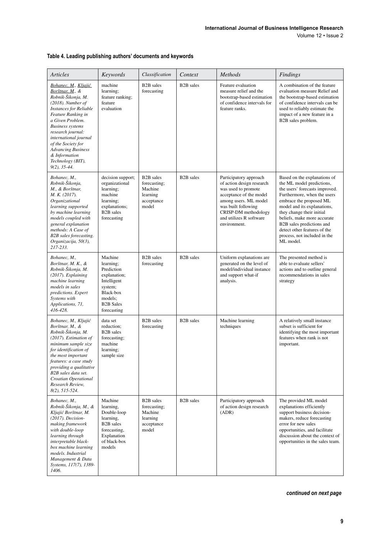## **Table 4. Leading publishing authors' documents and keywords**

| <b>Articles</b>                                                                                                                                                                                                                                                                                                                                       | Keywords                                                                                                                                | Classification                                                                       | Context                | <b>Methods</b>                                                                                                                                                                                                           | Findings                                                                                                                                                                                                                                                                                                                                                   |
|-------------------------------------------------------------------------------------------------------------------------------------------------------------------------------------------------------------------------------------------------------------------------------------------------------------------------------------------------------|-----------------------------------------------------------------------------------------------------------------------------------------|--------------------------------------------------------------------------------------|------------------------|--------------------------------------------------------------------------------------------------------------------------------------------------------------------------------------------------------------------------|------------------------------------------------------------------------------------------------------------------------------------------------------------------------------------------------------------------------------------------------------------------------------------------------------------------------------------------------------------|
| Bohanec, M., Kljajić<br>Borštnar, M., &<br>Robnik-Šikonja, M.<br>$(2018)$ . Number of<br><b>Instances for Reliable</b><br>Feature Ranking in<br>a Given Problem.<br><b>Business</b> systems<br>research journal:<br>international journal<br>of the Society for<br><b>Advancing Business</b><br>& Information<br>Technology (BIT),<br>$9(2)$ , 35-44. | machine<br>learning:<br>feature ranking;<br>feature<br>evaluation                                                                       | B <sub>2</sub> B sales<br>forecasting                                                | B <sub>2</sub> B sales | Feature evaluation<br>measure relief and the<br>bootstrap-based estimation<br>of confidence intervals for<br>feature ranks.                                                                                              | A combination of the feature<br>evaluation measure Relief and<br>the bootstrap-based estimation<br>of confidence intervals can be<br>used to reliably estimate the<br>impact of a new feature in a<br>B2B sales problem.                                                                                                                                   |
| Bohanec, M.,<br>Robnik-Šikonja,<br>M., & Borštnar,<br>M. K. (2017).<br>Organizational<br>learning supported<br>by machine learning<br>models coupled with<br>general explanation<br>methods: A Case of<br>B2B sales forecasting.<br>Organizacija, 50(3),<br>217-233.                                                                                  | decision support;<br>organizational<br>learning;<br>machine<br>learning;<br>explanations;<br>B <sub>2</sub> B sales<br>forecasting      | B <sub>2</sub> B sales<br>forecasting;<br>Machine<br>learning<br>acceptance<br>model | B <sub>2</sub> B sales | Participatory approach<br>of action design research<br>was used to promote<br>acceptance of the model<br>among users. ML model<br>was built following<br>CRISP-DM methodology<br>and utilizes R software<br>environment. | Based on the explanations of<br>the ML model predictions,<br>the users' forecasts improved.<br>Furthermore, when the users<br>embrace the proposed ML<br>model and its explanations,<br>they change their initial<br>beliefs, make more accurate<br>B2B sales predictions and<br>detect other features of the<br>process, not included in the<br>ML model. |
| Bohanec, M.,<br>Borštnar, M. K., &<br>Robnik-Šikonja, M.<br>(2017). Explaining<br>machine learning<br>models in sales<br>predictions. Expert<br>Systems with<br>Applications, 71,<br>416-428.                                                                                                                                                         | Machine<br>learning;<br>Prediction<br>explanation;<br>Intelligent<br>system;<br>Black-box<br>models;<br><b>B2B</b> Sales<br>forecasting | <b>B2B</b> sales<br>forecasting                                                      | B <sub>2</sub> B sales | Uniform explanations are<br>generated on the level of<br>model/individual instance<br>and support what-if<br>analysis.                                                                                                   | The presented method is<br>able to evaluate sellers'<br>actions and to outline general<br>recommendations in sales<br>strategy                                                                                                                                                                                                                             |
| Bohanec, M., Kljajić<br>Borštnar, M., &<br>Robnik-Šikonja, M.<br>$(2017)$ . Estimation of<br>minimum sample size<br>for identification of<br>the most important<br>features: a case study<br>providing a qualitative<br>B2B sales data set.<br>Croatian Operational<br>Research Review,<br>$8(2)$ , 515-524.                                          | data set<br>reduction;<br><b>B2B</b> sales<br>forecasting;<br>machine<br>learning;<br>sample size                                       | B <sub>2</sub> B sales<br>forecasting                                                | B <sub>2</sub> B sales | Machine learning<br>techniques                                                                                                                                                                                           | A relatively small instance<br>subset is sufficient for<br>identifying the most important<br>features when rank is not<br>important.                                                                                                                                                                                                                       |
| Bohanec, M.,<br>Robnik-Šikonja, M., &<br>Kljajić Borštnar, M.<br>$(2017)$ . Decision-<br>making framework<br>with double-loop<br>learning through<br>interpretable black-<br>box machine learning<br>models. Industrial<br>Management & Data<br>Systems, 117(7), 1389-<br>1406.                                                                       | Machine<br>learning,<br>Double-loop<br>learning,<br>B <sub>2</sub> B sales<br>forecasting,<br>Explanation<br>of black-box<br>models     | <b>B2B</b> sales<br>forecasting;<br>Machine<br>learning<br>acceptance<br>model       | B <sub>2</sub> B sales | Participatory approach<br>of action design research<br>(ADR)                                                                                                                                                             | The provided ML model<br>explanations efficiently<br>support business decision-<br>makers, reduce forecasting<br>error for new sales<br>opportunities, and facilitate<br>discussion about the context of<br>opportunities in the sales team.                                                                                                               |

*continued on next page*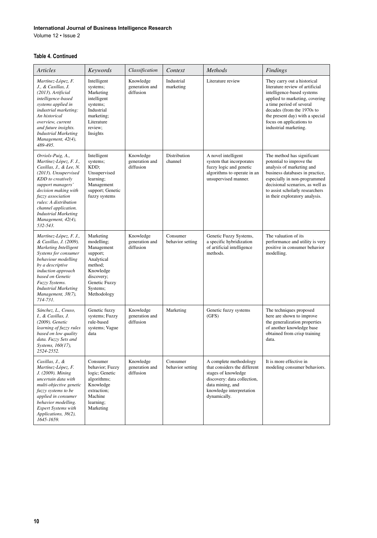#### **International Journal of Business Intelligence Research**

Volume 12 • Issue 2

#### **Table 4. Continued**

| Articles                                                                                                                                                                                                                                                                                                | Keywords                                                                                                                                          | Classification                           | Context                        | Methods                                                                                                                                                                      | Findings                                                                                                                                                                                                                                                                         |
|---------------------------------------------------------------------------------------------------------------------------------------------------------------------------------------------------------------------------------------------------------------------------------------------------------|---------------------------------------------------------------------------------------------------------------------------------------------------|------------------------------------------|--------------------------------|------------------------------------------------------------------------------------------------------------------------------------------------------------------------------|----------------------------------------------------------------------------------------------------------------------------------------------------------------------------------------------------------------------------------------------------------------------------------|
| Martínez-López, F.<br>J., & Casillas, J.<br>(2013). Artificial<br>intelligence-based<br>systems applied in<br>industrial marketing:<br>An historical<br>overview, current<br>and future insights.<br><b>Industrial Marketing</b><br>Management, 42(4),<br>489-495.                                      | Intelligent<br>systems;<br>Marketing<br>intelligent<br>systems;<br>Industrial<br>marketing;<br>Literature<br>review;<br>Insights                  | Knowledge<br>generation and<br>diffusion | Industrial<br>marketing        | Literature review                                                                                                                                                            | They carry out a historical<br>literature review of artificial<br>intelligence-based systems<br>applied to marketing, covering<br>a time period of several<br>decades (from the 1970s to<br>the present day) with a special<br>focus on applications to<br>industrial marketing. |
| Orriols-Puig, A.,<br>Martínez-López, F. J.,<br>Casillas, J., & Lee, N.<br>(2013). Unsupervised<br>KDD to creatively<br>support managers'<br>decision making with<br>fuzzy association<br>rules: A distribution<br>channel application.<br><b>Industrial Marketing</b><br>Management, 42(4),<br>532-543. | Intelligent<br>systems;<br>KDD;<br>Unsupervised<br>learning;<br>Management<br>support; Genetic<br>fuzzy systems                                   | Knowledge<br>generation and<br>diffusion | <b>Distribution</b><br>channel | A novel intelligent<br>system that incorporates<br>fuzzy logic and genetic<br>algorithms to operate in an<br>unsupervised manner.                                            | The method has significant<br>potential to improve the<br>analysis of marketing and<br>business databases in practice,<br>especially in non-programmed<br>decisional scenarios, as well as<br>to assist scholarly researchers<br>in their exploratory analysis.                  |
| Martínez-López, F. J.,<br>& Casillas, J. (2009).<br>Marketing Intelligent<br>Systems for consumer<br>behaviour modelling<br>by a descriptive<br>induction approach<br>based on Genetic<br>Fuzzy Systems.<br><b>Industrial Marketing</b><br>Management, 38(7),<br>714-731.                               | Marketing<br>modelling;<br>Management<br>support;<br>Analytical<br>method;<br>Knowledge<br>discovery;<br>Genetic Fuzzy<br>Systems;<br>Methodology | Knowledge<br>generation and<br>diffusion | Consumer<br>behavior setting   | Genetic Fuzzy Systems,<br>a specific hybridization<br>of artificial intelligence<br>methods.                                                                                 | The valuation of its<br>performance and utility is very<br>positive in consumer behavior<br>modelling.                                                                                                                                                                           |
| Sánchez, L., Couso,<br>I., & Casillas, J.<br>(2009). Genetic<br>learning of fuzzy rules<br>based on low quality<br>data. Fuzzy Sets and<br>Systems, 160(17),<br>2524-2552.                                                                                                                              | Genetic fuzzy<br>systems; Fuzzy<br>rule-based<br>systems; Vague<br>data                                                                           | Knowledge<br>generation and<br>diffusion | Marketing                      | Genetic fuzzy systems<br>(GFS)                                                                                                                                               | The techniques proposed<br>here are shown to improve<br>the generalization properties<br>of another knowledge base<br>obtained from crisp training<br>data.                                                                                                                      |
| Casillas, J., &<br>Martínez-López, F.<br>J. (2009). Mining<br>uncertain data with<br>multi-objective genetic<br>fuzzy systems to be<br>applied in consumer<br>behavior modelling.<br><b>Expert Systems with</b><br>Applications, 36(2),<br>1645-1659.                                                   | Consumer<br>behavior; Fuzzy<br>logic; Genetic<br>algorithms;<br>Knowledge<br>extraction;<br>Machine<br>learning;<br>Marketing                     | Knowledge<br>generation and<br>diffusion | Consumer<br>behavior setting   | A complete methodology<br>that considers the different<br>stages of knowledge<br>discovery: data collection,<br>data mining, and<br>knowledge interpretation<br>dynamically. | It is more effective in<br>modeling consumer behaviors.                                                                                                                                                                                                                          |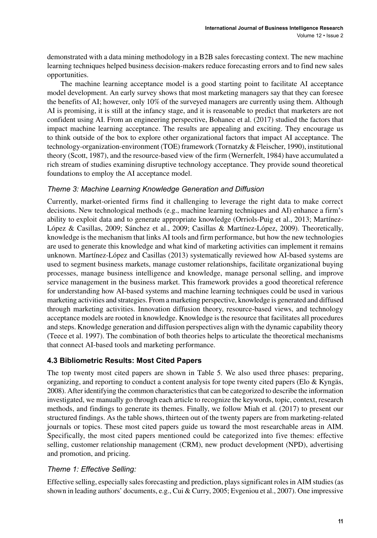demonstrated with a data mining methodology in a B2B sales forecasting context. The new machine learning techniques helped business decision-makers reduce forecasting errors and to find new sales opportunities.

The machine learning acceptance model is a good starting point to facilitate AI acceptance model development. An early survey shows that most marketing managers say that they can foresee the benefits of AI; however, only 10% of the surveyed managers are currently using them. Although AI is promising, it is still at the infancy stage, and it is reasonable to predict that marketers are not confident using AI. From an engineering perspective, Bohanec et al. (2017) studied the factors that impact machine learning acceptance. The results are appealing and exciting. They encourage us to think outside of the box to explore other organizational factors that impact AI acceptance. The technology-organization-environment (TOE) framework (Tornatzky & Fleischer, 1990), institutional theory (Scott, 1987), and the resource-based view of the firm (Wernerfelt, 1984) have accumulated a rich stream of studies examining disruptive technology acceptance. They provide sound theoretical foundations to employ the AI acceptance model.

# *Theme 3: Machine Learning Knowledge Generation and Diffusion*

Currently, market-oriented firms find it challenging to leverage the right data to make correct decisions. New technological methods (e.g., machine learning techniques and AI) enhance a firm's ability to exploit data and to generate appropriate knowledge (Orriols-Puig et al., 2013; Martínez-López & Casillas, 2009; Sánchez et al., 2009; Casillas & Martínez-López, 2009). Theoretically, knowledge is the mechanism that links AI tools and firm performance, but how the new technologies are used to generate this knowledge and what kind of marketing activities can implement it remains unknown. Martínez-López and Casillas (2013) systematically reviewed how AI-based systems are used to segment business markets, manage customer relationships, facilitate organizational buying processes, manage business intelligence and knowledge, manage personal selling, and improve service management in the business market. This framework provides a good theoretical reference for understanding how AI-based systems and machine learning techniques could be used in various marketing activities and strategies. From a marketing perspective, knowledge is generated and diffused through marketing activities. Innovation diffusion theory, resource-based views, and technology acceptance models are rooted in knowledge. Knowledge is the resource that facilitates all procedures and steps. Knowledge generation and diffusion perspectives align with the dynamic capability theory (Teece et al. 1997). The combination of both theories helps to articulate the theoretical mechanisms that connect AI-based tools and marketing performance.

# **4.3 Bibliometric Results: Most Cited Papers**

The top twenty most cited papers are shown in Table 5. We also used three phases: preparing, organizing, and reporting to conduct a content analysis for tope twenty cited papers (Elo & Kyngäs, 2008). After identifying the common characteristics that can be categorized to describe the information investigated, we manually go through each article to recognize the keywords, topic, context, research methods, and findings to generate its themes. Finally, we follow Miah et al. (2017) to present our structured findings. As the table shows, thirteen out of the twenty papers are from marketing-related journals or topics. These most cited papers guide us toward the most researchable areas in AIM. Specifically, the most cited papers mentioned could be categorized into five themes: effective selling, customer relationship management (CRM), new product development (NPD), advertising and promotion, and pricing.

# *Theme 1: Effective Selling:*

Effective selling, especially sales forecasting and prediction, plays significant roles in AIM studies (as shown in leading authors' documents, e.g., Cui & Curry, 2005; Evgeniou et al., 2007). One impressive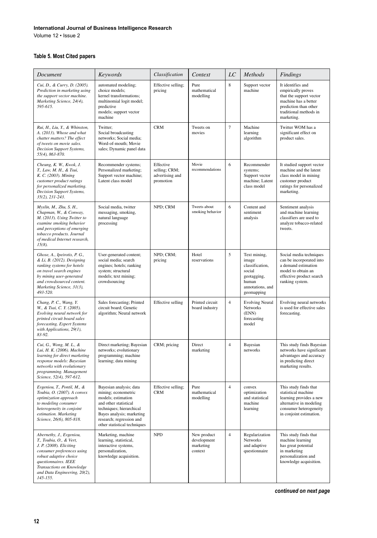#### **International Journal of Business Intelligence Research**

Volume 12 • Issue 2

## **Table 5. Most Cited papers**

| Document                                                                                                                                                                                                                                | Keywords                                                                                                                                                                                                           | Classification                                             | Context                                            | $_{LC}$        | Methods                                                                                                      | Findings                                                                                                                                                    |
|-----------------------------------------------------------------------------------------------------------------------------------------------------------------------------------------------------------------------------------------|--------------------------------------------------------------------------------------------------------------------------------------------------------------------------------------------------------------------|------------------------------------------------------------|----------------------------------------------------|----------------|--------------------------------------------------------------------------------------------------------------|-------------------------------------------------------------------------------------------------------------------------------------------------------------|
| Cui, D., & Curry, D. (2005).<br>Prediction in marketing using<br>the support vector machine.<br>Marketing Science, 24(4),<br>595-615.                                                                                                   | automated modeling;<br>choice models;<br>kernel transformations;<br>multinomial logit model;<br>predictive<br>models; support vector<br>machine                                                                    | Effective selling;<br>pricing                              | Pure<br>mathematical<br>modelling                  | 8              | Support vector<br>machine                                                                                    | It identifies and<br>empirically proves<br>that the support vector<br>machine has a better<br>prediction than other<br>traditional methods in<br>marketing. |
| Rui, H., Liu, Y., & Whinston,<br>A. (2013). Whose and what<br>chatter matters? The effect<br>of tweets on movie sales.<br>Decision Support Systems,<br>55(4), 863-870.                                                                  | Twitter;<br>Social broadcasting<br>networks; Social media;<br>Word-of-mouth; Movie<br>sales; Dynamic panel data                                                                                                    | <b>CRM</b>                                                 | Tweets on<br>movies                                | $\overline{7}$ | Machine<br>learning<br>algorithm                                                                             | Twitter WOM has a<br>significant effect on<br>product sales.                                                                                                |
| Cheung, K. W., Kwok, J.<br>T., Law, M. H., & Tsui,<br>K. C. (2003). Mining<br>customer product ratings<br>for personalized marketing.<br>Decision Support Systems,<br>35(2), 231-243.                                                   | Recommender systems;<br>Personalized marketing;<br>Support vector machine;<br>Latent class model                                                                                                                   | Effective<br>selling; CRM;<br>advertising and<br>promotion | Movie<br>recommendations                           | 6              | Recommender<br>systems;<br>Support vector<br>machine; Latent<br>class model                                  | It studied support vector<br>machine and the latent<br>class model in mining<br>customer product<br>ratings for personalized<br>marketing.                  |
| Myslín, M., Zhu, S. H.,<br>Chapman, W., & Conway,<br>M. (2013). Using Twitter to<br>examine smoking behavior<br>and perceptions of emerging<br>tobacco products. Journal<br>of medical Internet research,<br>$15(8)$ .                  | Social media, twitter<br>messaging, smoking,<br>natural language<br>processing                                                                                                                                     | NPD; CRM                                                   | Tweets about<br>smoking behavior                   | 6              | Content and<br>sentiment<br>analysis                                                                         | Sentiment analysis<br>and machine learning<br>classifiers are used to<br>analyze tobacco-related<br>tweets.                                                 |
| Ghose, A., Ipeirotis, P. G.,<br>& Li, B. (2012). Designing<br>ranking systems for hotels<br>on travel search engines<br>by mining user-generated<br>and crowdsourced content.<br>Marketing Science, 31(3),<br>493-520.                  | User-generated content;<br>social media; search<br>engines; hotels; ranking<br>system; structural<br>models; text mining;<br>crowdsourcing                                                                         | NPD; CRM;<br>pricing                                       | Hotel<br>reservations                              | 5              | Text mining,<br>image<br>classification,<br>social<br>geotagging,<br>human<br>annotations, and<br>geomapping | Social media techniques<br>can be incorporated into<br>a demand estimation<br>model to obtain an<br>effective product search<br>ranking system.             |
| Chang, P. C., Wang, Y.<br>W., & Tsai, C. Y. (2005).<br>Evolving neural network for<br>printed circuit board sales<br>forecasting. Expert Systems<br>with Applications, 29(1),<br>83-92.                                                 | Sales forecasting; Printed<br>circuit board; Genetic<br>algorithm; Neural network                                                                                                                                  | <b>Effective selling</b>                                   | Printed circuit<br>board industry                  | $\overline{4}$ | <b>Evolving Neural</b><br>Networks<br>(ENN)<br>forecasting<br>model                                          | Evolving neural networks<br>is used for effective sales<br>forecasting.                                                                                     |
| Cui, G., Wong, M. L., &<br>Lui, H. K. (2006). Machine<br>learning for direct marketing<br>response models: Bayesian<br>networks with evolutionary<br>programming. Management<br>Science, 52(4), 597-612.                                | Direct marketing; Bayesian<br>networks; evolutionary<br>programming; machine<br>learning; data mining                                                                                                              | CRM; pricing                                               | Direct<br>marketing                                | $\overline{4}$ | Bayesian<br>networks                                                                                         | This study finds Bayesian<br>networks have significant<br>advantages and accuracy<br>in predicting direct<br>marketing results.                             |
| Evgeniou, T., Pontil, M., &<br>Toubia, O. (2007). A convex<br>optimization approach<br>to modeling consumer<br>heterogeneity in conjoint<br>estimation. Marketing<br>Science, 26(6), 805-818.                                           | Bayesian analysis; data<br>mining; econometric<br>models; estimation<br>and other statistical<br>techniques; hierarchical<br>Bayes analysis; marketing<br>research; regression and<br>other statistical techniques | Effective selling;<br><b>CRM</b>                           | Pure<br>mathematical<br>modelling                  | $\overline{4}$ | convex<br>optimization<br>and statistical<br>machine<br>learning                                             | This study finds that<br>statistical machine<br>learning provides a new<br>alternative in modeling<br>consumer heterogeneity<br>in conjoint estimation.     |
| Abernethy, J., Evgeniou,<br>T., Toubia, O., & Vert,<br>J. P. (2008). Eliciting<br>consumer preferences using<br>robust adaptive choice<br>questionnaires. IEEE<br>Transactions on Knowledge<br>and Data Engineering, 20(2),<br>145-155. | Marketing, machine<br>learning, statistical,<br>interactive systems,<br>personalization,<br>knowledge acquisition.                                                                                                 | <b>NPD</b>                                                 | New product<br>development<br>marketing<br>context | $\overline{4}$ | Regularization<br>Networks<br>and adaptive<br>questionnaire                                                  | This study finds that<br>machine learning<br>has great potential<br>in marketing<br>personalization and<br>knowledge acquisition.                           |

*continued on next page*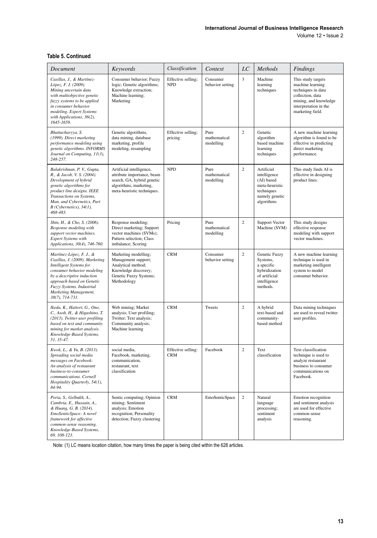Volume 12 • Issue 2

#### **Table 5. Continued**

| Document                                                                                                                                                                                                                                                | Keywords                                                                                                                                     | Classification                   | Context                           | $_{LC}$        | Methods                                                                                                  | Findings                                                                                                                                               |
|---------------------------------------------------------------------------------------------------------------------------------------------------------------------------------------------------------------------------------------------------------|----------------------------------------------------------------------------------------------------------------------------------------------|----------------------------------|-----------------------------------|----------------|----------------------------------------------------------------------------------------------------------|--------------------------------------------------------------------------------------------------------------------------------------------------------|
| Casillas, J., & Martínez-<br>López, F. J. (2009).<br>Mining uncertain data<br>with multiobjective genetic<br>fuzzy systems to be applied<br>in consumer behavior<br>modeling. Expert Systems<br>with Applications, 36(2),<br>1645-1659.                 | Consumer behavior; Fuzzy<br>logic; Genetic algorithms;<br>Knowledge extraction;<br>Machine learning;<br>Marketing                            | Effective selling;<br><b>NPD</b> | Consumer<br>behavior setting      | $\overline{3}$ | Machine<br>learning<br>techniques                                                                        | This study targets<br>machine learning<br>techniques in data<br>collection, data<br>mining, and knowledge<br>interpretation in the<br>marketing field. |
| Bhattacharyya, S.<br>(1999). Direct marketing<br>performance modeling using<br>genetic algorithms. INFORMS<br>Journal on Computing, 11(3),<br>248-257.                                                                                                  | Genetic algorithms,<br>data mining, database<br>marketing, profile<br>modeling, resampling                                                   | Effective selling;<br>pricing    | Pure<br>mathematical<br>modelling | $\overline{c}$ | Genetic<br>algorithm<br>based machine<br>learning<br>techniques                                          | A new machine learning<br>algorithm is found to be<br>effective in predicting<br>direct marketing<br>performance.                                      |
| Balakrishnan, P. V., Gupta,<br>R., & Jacob, V. S. (2004).<br>Development of hybrid<br>genetic algorithms for<br>product line designs. IEEE<br>Transactions on Systems,<br>Man, and Cybernetics, Part<br>$B$ (Cybernetics), $34(1)$ ,<br>468-483.        | Artificial intelligence,<br>attribute importance, beam<br>search, GA, hybrid genetic<br>algorithms, marketing,<br>meta-heuristic techniques. | <b>NPD</b>                       | Pure<br>mathematical<br>modelling | $\overline{c}$ | Artificial<br>intelligence<br>(AI) based<br>meta-heuristic<br>techniques<br>namely genetic<br>algorithms | This study finds AI is<br>effective in designing<br>product lines.                                                                                     |
| Shin, H., & Cho, S. (2006).<br>Response modeling with<br>support vector machines.<br>Expert Systems with<br>Applications, 30(4), 746-760.                                                                                                               | Response modeling;<br>Direct marketing; Support<br>vector machines (SVMs);<br>Pattern selection; Class<br>imbalance; Scoring                 | Pricing                          | Pure<br>mathematical<br>modelling | $\overline{c}$ | Support Vector<br>Machine (SVM)                                                                          | This study designs<br>effective response<br>modeling with support<br>vector machines.                                                                  |
| Martínez-López, F. J., &<br>Casillas, J. (2009). Marketing<br>Intelligent Systems for<br>consumer behavior modeling<br>by a descriptive induction<br>approach based on Genetic<br>Fuzzy Systems. Industrial<br>Marketing Management,<br>38(7), 714-731. | Marketing modelling;<br>Management support;<br>Analytical method;<br>Knowledge discovery;<br>Genetic Fuzzy Systems;<br>Methodology           | <b>CRM</b>                       | Consumer<br>behavior setting      | $\overline{c}$ | Genetic Fuzzy<br>Systems,<br>a specific<br>hybridization<br>of artificial<br>intelligence<br>methods.    | A new machine learning<br>technique is used in<br>marketing intelligent<br>system to model<br>consumer behavior.                                       |
| Ikeda, K., Hattori, G., Ono,<br>C., Asoh, H., & Higashino, T.<br>(2013). Twitter user profiling<br>based on text and community<br>mining for market analysis.<br>Knowledge-Based Systems,<br>51, 35-47.                                                 | Web mining; Market<br>analysis; User profiling;<br>Twitter; Text analysis;<br>Community analysis;<br>Machine learning                        | <b>CRM</b>                       | Tweets                            | $\overline{c}$ | A hybrid<br>text-based and<br>community-<br>based method                                                 | Data mining techniques<br>are used to reveal twitter<br>user profiles.                                                                                 |
| Kwok, L., & Yu, B. (2013).<br>Spreading social media<br>messages on Facebook:<br>An analysis of restaurant<br>business-to-consumer<br>communications. Cornell<br>Hospitality Quarterly, 54(1),<br>84-94.                                                | social media,<br>Facebook, marketing,<br>communication.<br>restaurant, text<br>classification                                                | Effective selling:<br><b>CRM</b> | Facebook                          | $\overline{c}$ | Text<br>classification                                                                                   | Text classification<br>technique is used to<br>analyze restaurant<br>business to consumer<br>communications on<br>Facebook.                            |
| Poria, S., Gelbukh, A.,<br>Cambria, E., Hussain, A.,<br>& Huang, G. B. (2014).<br>EmoSenticSpace: A novel<br>framework for affective<br>common-sense reasoning.<br>Knowledge-Based Systems,<br>69, 108-123.                                             | Sentic computing; Opinion<br>mining; Sentiment<br>analysis; Emotion<br>recognition; Personality<br>detection; Fuzzy clustering               | <b>CRM</b>                       | <b>EmoSenticSpace</b>             | $\overline{c}$ | Natural<br>language<br>processing;<br>sentiment<br>analysis                                              | Emotion recognition<br>and sentiment analysis<br>are used for effective<br>common-sense<br>reasoning.                                                  |

Note: (1) LC means location citation, how many times the paper is being cited within the 628 articles.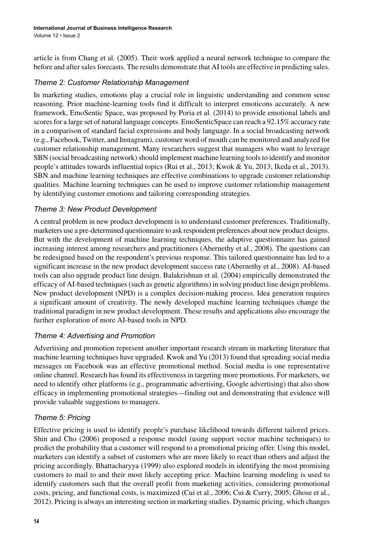article is from Chang et al. (2005). Their work applied a neural network technique to compare the before and after sales forecasts. The results demonstrate that AI tools are effective in predicting sales.

# *Theme 2: Customer Relationship Management*

In marketing studies, emotions play a crucial role in linguistic understanding and common sense reasoning. Prior machine-learning tools find it difficult to interpret emoticons accurately. A new framework, EmoSentic Space, was proposed by Poria et al. (2014) to provide emotional labels and scores for a large set of natural language concepts. EmoSenticSpace can reach a 92.15% accuracy rate in a comparison of standard facial expressions and body language. In a social broadcasting network (e.g., Facebook, Twitter, and Instagram), customer word of mouth can be monitored and analyzed for customer relationship management. Many researchers suggest that managers who want to leverage SBN (social broadcasting network) should implement machine learning tools to identify and monitor people's attitudes towards influential topics (Rui et al., 2013; Kwok & Yu, 2013; Ikeda et al., 2013). SBN and machine learning techniques are effective combinations to upgrade customer relationship qualities. Machine learning techniques can be used to improve customer relationship management by identifying customer emotions and tailoring corresponding strategies.

# *Theme 3: New Product Development*

A central problem in new product development is to understand customer preferences. Traditionally, marketers use a pre-determined questionnaire to ask respondent preferences about new product designs. But with the development of machine learning techniques, the adaptive questionnaire has gained increasing interest among researchers and practitioners (Abernethy et al., 2008). The questions can be redesigned based on the respondent's previous response. This tailored questionnaire has led to a significant increase in the new product development success rate (Abernethy et al., 2008). AI-based tools can also upgrade product line design. Balakrishnan et al. (2004) empirically demonstrated the efficacy of AI-based techniques (such as genetic algorithms) in solving product line design problems. New product development (NPD) is a complex decision-making process. Idea generation requires a significant amount of creativity. The newly developed machine learning techniques change the traditional paradigm in new product development. These results and applications also encourage the further exploration of more AI-based tools in NPD.

# *Theme 4: Advertising and Promotion*

Advertising and promotion represent another important research stream in marketing literature that machine learning techniques have upgraded. Kwok and Yu (2013) found that spreading social media messages on Facebook was an effective promotional method. Social media is one representative online channel. Research has found its effectiveness in targeting more promotions. For marketers, we need to identify other platforms (e.g., programmatic advertising, Google advertising) that also show efficacy in implementing promotional strategies—finding out and demonstrating that evidence will provide valuable suggestions to managers.

# *Theme 5: Pricing*

Effective pricing is used to identify people's purchase likelihood towards different tailored prices. Shin and Cho (2006) proposed a response model (using support vector machine techniques) to predict the probability that a customer will respond to a promotional pricing offer. Using this model, marketers can identify a subset of customers who are more likely to react than others and adjust the pricing accordingly. Bhattacharyya (1999) also explored models in identifying the most promising customers to mail to and their most likely accepting price. Machine learning modeling is used to identify customers such that the overall profit from marketing activities, considering promotional costs, pricing, and functional costs, is maximized (Cui et al., 2006; Cui & Curry, 2005; Ghose et al., 2012). Pricing is always an interesting section in marketing studies. Dynamic pricing, which changes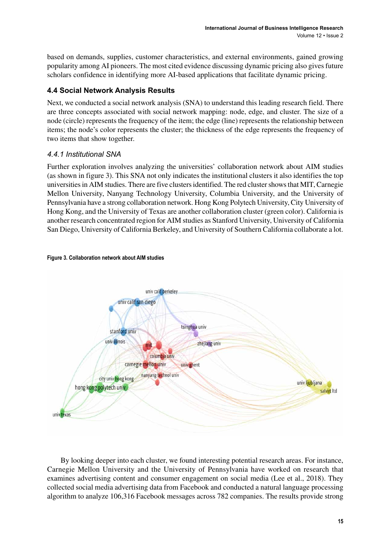based on demands, supplies, customer characteristics, and external environments, gained growing popularity among AI pioneers. The most cited evidence discussing dynamic pricing also gives future scholars confidence in identifying more AI-based applications that facilitate dynamic pricing.

# **4.4 Social Network Analysis Results**

Next, we conducted a social network analysis (SNA) to understand this leading research field. There are three concepts associated with social network mapping: node, edge, and cluster. The size of a node (circle) represents the frequency of the item; the edge (line) represents the relationship between items; the node's color represents the cluster; the thickness of the edge represents the frequency of two items that show together.

# *4.4.1 Institutional SNA*

Further exploration involves analyzing the universities' collaboration network about AIM studies (as shown in figure 3). This SNA not only indicates the institutional clusters it also identifies the top universities in AIM studies. There are five clusters identified. The red cluster shows that MIT, Carnegie Mellon University, Nanyang Technology University, Columbia University, and the University of Pennsylvania have a strong collaboration network. Hong Kong Polytech University, City University of Hong Kong, and the University of Texas are another collaboration cluster (green color). California is another research concentrated region for AIM studies as Stanford University, University of California San Diego, University of California Berkeley, and University of Southern California collaborate a lot.



#### **Figure 3. Collaboration network about AIM studies**

By looking deeper into each cluster, we found interesting potential research areas. For instance, Carnegie Mellon University and the University of Pennsylvania have worked on research that examines advertising content and consumer engagement on social media (Lee et al., 2018). They collected social media advertising data from Facebook and conducted a natural language processing algorithm to analyze 106,316 Facebook messages across 782 companies. The results provide strong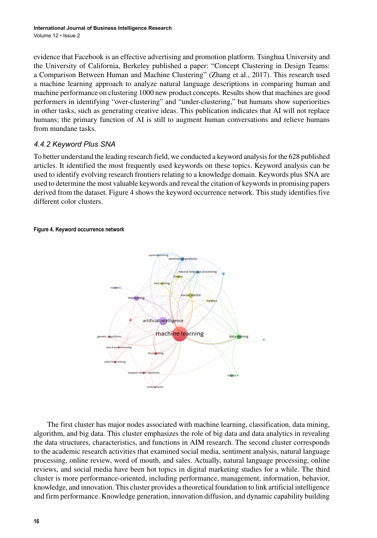evidence that Facebook is an effective advertising and promotion platform. Tsinghua University and the University of California, Berkeley published a paper: "Concept Clustering in Design Teams: a Comparison Between Human and Machine Clustering" (Zhang et al., 2017). This research used a machine learning approach to analyze natural language descriptions in comparing human and machine performance on clustering 1000 new product concepts. Results show that machines are good performers in identifying "over-clustering" and "under-clustering," but humans show superiorities in other tasks, such as generating creative ideas. This publication indicates that AI will not replace humans; the primary function of AI is still to augment human conversations and relieve humans from mundane tasks.

# *4.4.2 Keyword Plus SNA*

To better understand the leading research field, we conducted a keyword analysis for the 628 published articles. It identified the most frequently used keywords on these topics. Keyword analysis can be used to identify evolving research frontiers relating to a knowledge domain. Keywords plus SNA are used to determine the most valuable keywords and reveal the citation of keywords in promising papers derived from the dataset. Figure 4 shows the keyword occurrence network. This study identifies five different color clusters.

#### **Figure 4. Keyword occurrence network**



The first cluster has major nodes associated with machine learning, classification, data mining, algorithm, and big data. This cluster emphasizes the role of big data and data analytics in revealing the data structures, characteristics, and functions in AIM research. The second cluster corresponds to the academic research activities that examined social media, sentiment analysis, natural language processing, online review, word of mouth, and sales. Actually, natural language processing, online reviews, and social media have been hot topics in digital marketing studies for a while. The third cluster is more performance-oriented, including performance, management, information, behavior, knowledge, and innovation. This cluster provides a theoretical foundation to link artificial intelligence and firm performance. Knowledge generation, innovation diffusion, and dynamic capability building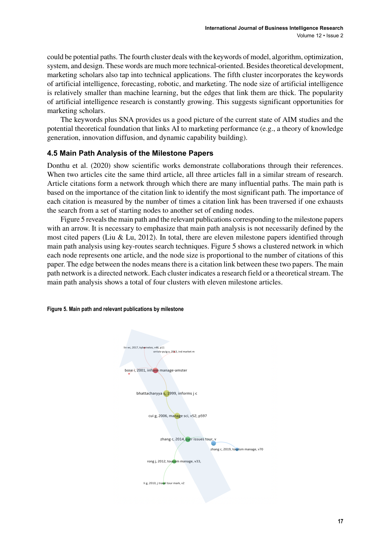could be potential paths. The fourth cluster deals with the keywords of model, algorithm, optimization, system, and design. These words are much more technical-oriented. Besides theoretical development, marketing scholars also tap into technical applications. The fifth cluster incorporates the keywords of artificial intelligence, forecasting, robotic, and marketing. The node size of artificial intelligence is relatively smaller than machine learning, but the edges that link them are thick. The popularity of artificial intelligence research is constantly growing. This suggests significant opportunities for marketing scholars.

The keywords plus SNA provides us a good picture of the current state of AIM studies and the potential theoretical foundation that links AI to marketing performance (e.g., a theory of knowledge generation, innovation diffusion, and dynamic capability building).

# **4.5 Main Path Analysis of the Milestone Papers**

Donthu et al. (2020) show scientific works demonstrate collaborations through their references. When two articles cite the same third article, all three articles fall in a similar stream of research. Article citations form a network through which there are many influential paths. The main path is based on the importance of the citation link to identify the most significant path. The importance of each citation is measured by the number of times a citation link has been traversed if one exhausts the search from a set of starting nodes to another set of ending nodes.

Figure 5 reveals the main path and the relevant publications corresponding to the milestone papers with an arrow. It is necessary to emphasize that main path analysis is not necessarily defined by the most cited papers (Liu & Lu, 2012). In total, there are eleven milestone papers identified through main path analysis using key-routes search techniques. Figure 5 shows a clustered network in which each node represents one article, and the node size is proportional to the number of citations of this paper. The edge between the nodes means there is a citation link between these two papers. The main path network is a directed network. Each cluster indicates a research field or a theoretical stream. The main path analysis shows a total of four clusters with eleven milestone articles.

#### **Figure 5. Main path and relevant publications by milestone**

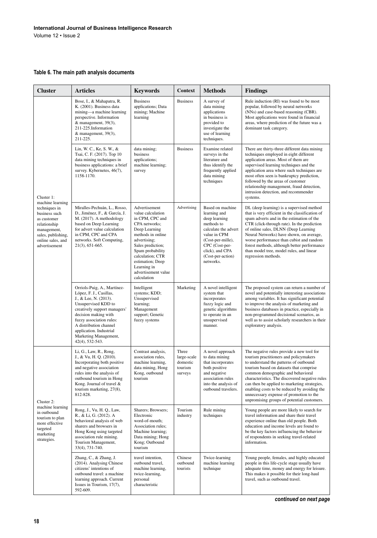## **Table 6. The main path analysis documents**

| <b>Cluster</b>                                                                                                                                                             | <b>Articles</b>                                                                                                                                                                                                                                                                             | <b>Keywords</b>                                                                                                                                                                                                                                                    | Context                                                | <b>Methods</b>                                                                                                                                                                                      | <b>Findings</b>                                                                                                                                                                                                                                                                                                                                                                                                                                          |
|----------------------------------------------------------------------------------------------------------------------------------------------------------------------------|---------------------------------------------------------------------------------------------------------------------------------------------------------------------------------------------------------------------------------------------------------------------------------------------|--------------------------------------------------------------------------------------------------------------------------------------------------------------------------------------------------------------------------------------------------------------------|--------------------------------------------------------|-----------------------------------------------------------------------------------------------------------------------------------------------------------------------------------------------------|----------------------------------------------------------------------------------------------------------------------------------------------------------------------------------------------------------------------------------------------------------------------------------------------------------------------------------------------------------------------------------------------------------------------------------------------------------|
| Cluster 1:<br>machine learning<br>techniques in<br>business such<br>as customer<br>relationship<br>management,<br>sales, publishing,<br>online sales, and<br>advertisement | Bose, I., & Mahapatra, R.<br>K. (2001). Business data<br>mining—a machine learning<br>perspective. Information<br>& management, 39(3),<br>211-225.Information<br>& management, 39(3),<br>211-225.                                                                                           | <b>Business</b><br>applications; Data<br>mining; Machine<br>learning                                                                                                                                                                                               | <b>Business</b>                                        | A survey of<br>data mining<br>applications<br>in business is<br>provided to<br>investigate the<br>use of learning<br>techniques.                                                                    | Rule induction (RI) was found to be most<br>popular, followed by neural networks<br>(NNs) and case-based reasoning (CBR).<br>Most applications were found in financial<br>areas, where prediction of the future was a<br>dominant task category.                                                                                                                                                                                                         |
|                                                                                                                                                                            | Lin, W. C., Ke, S. W., &<br>Tsai, C. F. (2017). Top 10<br>data mining techniques in<br>business applications: a brief<br>survey. Kybernetes, 46(7),<br>1158-1170.                                                                                                                           | data mining;<br>business<br>applications;<br>machine learning;<br>survey                                                                                                                                                                                           | <b>Business</b>                                        | Examine related<br>surveys in the<br>literature and<br>thus identify the<br>frequently applied<br>data mining<br>techniques                                                                         | There are thirty-three different data mining<br>techniques employed in eight different<br>application areas. Most of them are<br>supervised learning techniques and the<br>application area where such techniques are<br>most often seen is bankruptcy prediction,<br>followed by the areas of customer<br>relationship management, fraud detection,<br>intrusion detection, and recommender<br>systems.                                                 |
|                                                                                                                                                                            | Miralles-Pechuán, L., Rosso,<br>D., Jiménez, F., & García, J.<br>M. (2017). A methodology<br>based on Deep Learning<br>for advert value calculation<br>in CPM, CPC and CPA<br>networks. Soft Computing,<br>21(3), 651-665.                                                                  | Advertisement<br>value calculation<br>in CPM, CPC and<br>CPA networks;<br>Deep Learning<br>methods in online<br>advertising;<br>Sales prediction;<br>Spam probability<br>calculation; CTR<br>estimation; Deep<br>Learning in<br>advertisement value<br>calculation | Advertising                                            | Based on machine<br>learning and<br>deep learning<br>methods to<br>calculate the advert<br>value in CPM<br>(Cost-per-mille),<br>CPC (Cost-per-<br>click), and CPA<br>(Cost-per-action)<br>networks. | DL (deep learning) is a supervised method<br>that is very efficient in the classification of<br>spam adverts and in the estimation of the<br>CTR (click-through rate). In the prediction<br>of online sales, DLNN (Deep Learning<br>Neural Networks) have shown, on average,<br>worse performance than cubist and random<br>forest methods, although better performance<br>than model tree, model rules, and linear<br>regression methods.               |
|                                                                                                                                                                            | Orriols-Puig, A., Martínez-<br>López, F. J., Casillas,<br>J., & Lee, N. (2013).<br>Unsupervised KDD to<br>creatively support managers'<br>decision making with<br>fuzzy association rules:<br>A distribution channel<br>application. Industrial<br>Marketing Management,<br>42(4), 532-543. | Intelligent<br>systems; KDD;<br>Unsupervised<br>learning;<br>Management<br>support; Genetic<br>fuzzy systems                                                                                                                                                       | Marketing                                              | A novel intelligent<br>system that<br>incorporates<br>fuzzy logic and<br>genetic algorithms<br>to operate in an<br>unsupervised<br>manner.                                                          | The proposed system can return a number of<br>novel and potentially interesting associations<br>among variables. It has significant potential<br>to improve the analysis of marketing and<br>business databases in practice, especially in<br>non-programmed decisional scenarios, as<br>well as to assist scholarly researchers in their<br>exploratory analysis.                                                                                       |
| Cluster 2:<br>machine learning<br>in outbound<br>tourism to plan<br>more effective<br>targeted<br>marketing<br>strategies.                                                 | Li, G., Law, R., Rong,<br>J., & Vu, H. Q. (2010).<br>Incorporating both positive<br>and negative association<br>rules into the analysis of<br>outbound tourism in Hong<br>Kong. Journal of travel &<br>tourism marketing, 27(8),<br>812-828.                                                | Contrast analysis,<br>association rules,<br>machine learning,<br>data mining, Hong<br>Kong, outbound<br>tourism                                                                                                                                                    | Three<br>large-scale<br>domestic<br>tourism<br>surveys | A novel approach<br>to data mining<br>that incorporates<br>both positive<br>and negative<br>association rules<br>into the analysis of<br>outbound travelers.                                        | The negative rules provide a new tool for<br>tourism practitioners and policymakers<br>to understand the patterns of outbound<br>tourism based on datasets that comprise<br>common demographic and behavioral<br>characteristics. The discovered negative rules<br>can then be applied to marketing strategies,<br>enabling costs to be reduced by avoiding the<br>unnecessary expense of promotion to the<br>unpromising groups of potential customers. |
|                                                                                                                                                                            | Rong, J., Vu, H. Q., Law,<br>R., & Li, G. (2012). A<br>behavioral analysis of web<br>sharers and browsers in<br>Hong Kong using targeted<br>association rule mining.<br>Tourism Management,<br>33(4), 731-740.                                                                              | Sharers; Browsers;<br>Electronic<br>word-of-mouth;<br>Association rules:<br>Machine learning;<br>Data mining; Hong<br>Kong; Outbound<br>tourism                                                                                                                    | Tourism<br>industry                                    | Rule mining<br>techniques                                                                                                                                                                           | Young people are more likely to search for<br>travel information and share their travel<br>experience online than old people. Both<br>education and income levels are found to<br>be the key factors influencing the behavior<br>of respondents in seeking travel-related<br>information.                                                                                                                                                                |
|                                                                                                                                                                            | Zhang, C., & Zhang, J.<br>(2014). Analysing Chinese<br>citizens' intentions of<br>outbound travel: a machine<br>learning approach. Current<br>Issues in Tourism, 17(7),<br>592-609.                                                                                                         | travel intention,<br>outbound travel,<br>machine learning,<br>twice-learning,<br>personal<br>characteristic                                                                                                                                                        | Chinese<br>outbound<br>tourists                        | Twice-learning<br>machine learning<br>technique                                                                                                                                                     | Young people, females, and highly educated<br>people in this life-cycle stage usually have<br>adequate time, money and energy for leisure.<br>This makes it possible for their long-haul<br>travel, such as outbound travel.                                                                                                                                                                                                                             |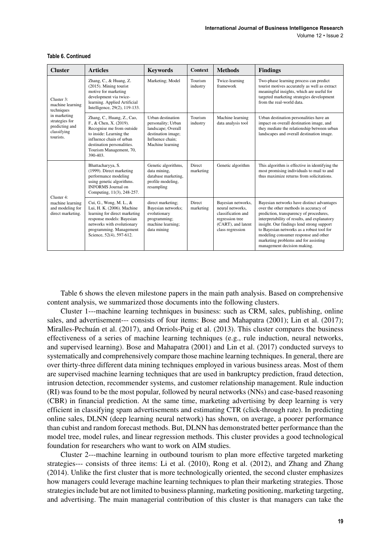Volume 12 • Issue 2

| <b>Cluster</b>                                                                                                               | <b>Articles</b>                                                                                                                                                                                               | <b>Keywords</b>                                                                                                             | <b>Context</b>             | <b>Methods</b>                                                                                                            | <b>Findings</b>                                                                                                                                                                                                                                                                                                                                                                         |
|------------------------------------------------------------------------------------------------------------------------------|---------------------------------------------------------------------------------------------------------------------------------------------------------------------------------------------------------------|-----------------------------------------------------------------------------------------------------------------------------|----------------------------|---------------------------------------------------------------------------------------------------------------------------|-----------------------------------------------------------------------------------------------------------------------------------------------------------------------------------------------------------------------------------------------------------------------------------------------------------------------------------------------------------------------------------------|
| Cluster 3:<br>machine learning<br>techniques<br>in marketing<br>strategies for<br>predicting and<br>classifying<br>tourists. | Zhang, C., & Huang, Z.<br>(2015). Mining tourist<br>motive for marketing<br>development via twice-<br>learning. Applied Artificial<br>Intelligence, 29(2), 119-133.                                           | Marketing; Model                                                                                                            | Tourism<br>industry        | Twice-learning<br>framework                                                                                               | Two-phase learning process can predict<br>tourist motives accurately as well as extract<br>meaningful insights, which are useful for<br>targeted marketing strategies development<br>from the real-world data.                                                                                                                                                                          |
|                                                                                                                              | Zhang, C., Huang, Z., Cao,<br>F., & Chen, X. (2019).<br>Recognise me from outside<br>to inside: Learning the<br>influence chain of urban<br>destination personalities.<br>Tourism Management, 70,<br>390-403. | Urban destination<br>personality; Urban<br>landscape; Overall<br>destination image;<br>Influence chain:<br>Machine learning | Tourism<br>industry        | Machine learning<br>data analysis tool                                                                                    | Urban destination personalities have an<br>impact on overall destination image, and<br>they mediate the relationship between urban<br>landscapes and overall destination image.                                                                                                                                                                                                         |
|                                                                                                                              | Bhattacharyya, S.<br>(1999). Direct marketing<br>performance modeling<br>using genetic algorithms.<br><b>INFORMS</b> Journal on<br>Computing, 11(3), 248-257.                                                 | Genetic algorithms,<br>data mining,<br>database marketing,<br>profile modeling,<br>resampling                               | <b>Direct</b><br>marketing | Genetic algorithm                                                                                                         | This algorithm is effective in identifying the<br>most promising individuals to mail to and<br>thus maximize returns from solicitations.                                                                                                                                                                                                                                                |
| Cluster 4:<br>machine learning<br>and modeling for<br>direct marketing.                                                      | Cui, G., Wong, M. L., &<br>Lui, H. K. (2006). Machine<br>learning for direct marketing<br>response models: Bayesian<br>networks with evolutionary<br>programming. Management<br>Science, 52(4), 597-612.      | direct marketing;<br>Bayesian networks;<br>evolutionary<br>programming;<br>machine learning;<br>data mining                 | <b>Direct</b><br>marketing | Bayesian networks,<br>neural networks.<br>classification and<br>regression tree<br>(CART), and latent<br>class regression | Bayesian networks have distinct advantages<br>over the other methods in accuracy of<br>prediction, transparency of procedures,<br>interpretability of results, and explanatory<br>insight. Our findings lend strong support<br>to Bayesian networks as a robust tool for<br>modeling consumer response and other<br>marketing problems and for assisting<br>management decision making. |

#### **Table 6. Continued**

Table 6 shows the eleven milestone papers in the main path analysis. Based on comprehensive content analysis, we summarized those documents into the following clusters.

Cluster 1---machine learning techniques in business: such as CRM, sales, publishing, online sales, and advertisement--- consists of four items: Bose and Mahapatra (2001); Lin et al. (2017); Miralles-Pechuán et al. (2017), and Orriols-Puig et al. (2013). This cluster compares the business effectiveness of a series of machine learning techniques (e.g., rule induction, neural networks, and supervised learning). Bose and Mahapatra (2001) and Lin et al. (2017) conducted surveys to systematically and comprehensively compare those machine learning techniques. In general, there are over thirty-three different data mining techniques employed in various business areas. Most of them are supervised machine learning techniques that are used in bankruptcy prediction, fraud detection, intrusion detection, recommender systems, and customer relationship management. Rule induction (RI) was found to be the most popular, followed by neural networks (NNs) and case-based reasoning (CBR) in financial prediction. At the same time, marketing advertising by deep learning is very efficient in classifying spam advertisements and estimating CTR (click-through rate). In predicting online sales, DLNN (deep learning neural network) has shown, on average, a poorer performance than cubist and random forecast methods. But, DLNN has demonstrated better performance than the model tree, model rules, and linear regression methods. This cluster provides a good technological foundation for researchers who want to work on AIM studies.

Cluster 2---machine learning in outbound tourism to plan more effective targeted marketing strategies--- consists of three items: Li et al. (2010), Rong et al. (2012), and Zhang and Zhang (2014). Unlike the first cluster that is more technologically oriented, the second cluster emphasizes how managers could leverage machine learning techniques to plan their marketing strategies. Those strategies include but are not limited to business planning, marketing positioning, marketing targeting, and advertising. The main managerial contribution of this cluster is that managers can take the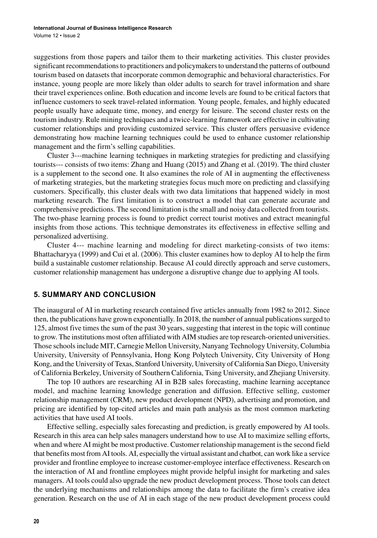suggestions from those papers and tailor them to their marketing activities. This cluster provides significant recommendations to practitioners and policymakers to understand the patterns of outbound tourism based on datasets that incorporate common demographic and behavioral characteristics. For instance, young people are more likely than older adults to search for travel information and share their travel experiences online. Both education and income levels are found to be critical factors that influence customers to seek travel-related information. Young people, females, and highly educated people usually have adequate time, money, and energy for leisure. The second cluster rests on the tourism industry. Rule mining techniques and a twice-learning framework are effective in cultivating customer relationships and providing customized service. This cluster offers persuasive evidence demonstrating how machine learning techniques could be used to enhance customer relationship management and the firm's selling capabilities.

Cluster 3---machine learning techniques in marketing strategies for predicting and classifying tourists--- consists of two items: Zhang and Huang (2015) and Zhang et al. (2019). The third cluster is a supplement to the second one. It also examines the role of AI in augmenting the effectiveness of marketing strategies, but the marketing strategies focus much more on predicting and classifying customers. Specifically, this cluster deals with two data limitations that happened widely in most marketing research. The first limitation is to construct a model that can generate accurate and comprehensive predictions. The second limitation is the small and noisy data collected from tourists. The two-phase learning process is found to predict correct tourist motives and extract meaningful insights from those actions. This technique demonstrates its effectiveness in effective selling and personalized advertising.

Cluster 4--- machine learning and modeling for direct marketing-consists of two items: Bhattacharyya (1999) and Cui et al. (2006). This cluster examines how to deploy AI to help the firm build a sustainable customer relationship. Because AI could directly approach and serve customers, customer relationship management has undergone a disruptive change due to applying AI tools.

## **5. SUMMARY AND CONCLUSION**

The inaugural of AI in marketing research contained five articles annually from 1982 to 2012. Since then, the publications have grown exponentially. In 2018, the number of annual publications surged to 125, almost five times the sum of the past 30 years, suggesting that interest in the topic will continue to grow. The institutions most often affiliated with AIM studies are top research-oriented universities. Those schools include MIT, Carnegie Mellon University, Nanyang Technology University, Columbia University, University of Pennsylvania, Hong Kong Polytech University, City University of Hong Kong, and the University of Texas, Stanford University, University of California San Diego, University of California Berkeley, University of Southern California, Tsing University, and Zhejiang University.

The top 10 authors are researching AI in B2B sales forecasting, machine learning acceptance model, and machine learning knowledge generation and diffusion. Effective selling, customer relationship management (CRM), new product development (NPD), advertising and promotion, and pricing are identified by top-cited articles and main path analysis as the most common marketing activities that have used AI tools.

Effective selling, especially sales forecasting and prediction, is greatly empowered by AI tools. Research in this area can help sales managers understand how to use AI to maximize selling efforts, when and where AI might be most productive. Customer relationship management is the second field that benefits most from AI tools. AI, especially the virtual assistant and chatbot, can work like a service provider and frontline employee to increase customer-employee interface effectiveness. Research on the interaction of AI and frontline employees might provide helpful insight for marketing and sales managers. AI tools could also upgrade the new product development process. Those tools can detect the underlying mechanisms and relationships among the data to facilitate the firm's creative idea generation. Research on the use of AI in each stage of the new product development process could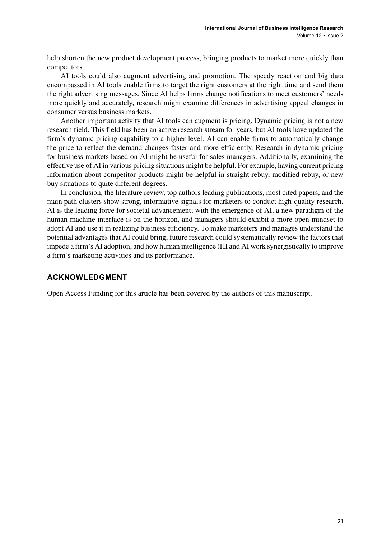help shorten the new product development process, bringing products to market more quickly than competitors.

AI tools could also augment advertising and promotion. The speedy reaction and big data encompassed in AI tools enable firms to target the right customers at the right time and send them the right advertising messages. Since AI helps firms change notifications to meet customers' needs more quickly and accurately, research might examine differences in advertising appeal changes in consumer versus business markets.

Another important activity that AI tools can augment is pricing. Dynamic pricing is not a new research field. This field has been an active research stream for years, but AI tools have updated the firm's dynamic pricing capability to a higher level. AI can enable firms to automatically change the price to reflect the demand changes faster and more efficiently. Research in dynamic pricing for business markets based on AI might be useful for sales managers. Additionally, examining the effective use of AI in various pricing situations might be helpful. For example, having current pricing information about competitor products might be helpful in straight rebuy, modified rebuy, or new buy situations to quite different degrees.

In conclusion, the literature review, top authors leading publications, most cited papers, and the main path clusters show strong, informative signals for marketers to conduct high-quality research. AI is the leading force for societal advancement; with the emergence of AI, a new paradigm of the human-machine interface is on the horizon, and managers should exhibit a more open mindset to adopt AI and use it in realizing business efficiency. To make marketers and manages understand the potential advantages that AI could bring, future research could systematically review the factors that impede a firm's AI adoption, and how human intelligence (HI and AI work synergistically to improve a firm's marketing activities and its performance.

# **ACKNOWLEDGMENT**

Open Access Funding for this article has been covered by the authors of this manuscript.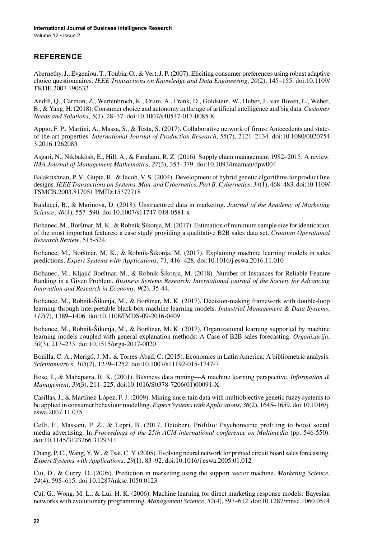Volume 12 • Issue 2

# **REFERENCE**

Abernethy, J., Evgeniou, T., Toubia, O., & Vert, J. P. (2007). Eliciting consumer preferences using robust adaptive choice questionnaires. *IEEE Transactions on Knowledge and Data Engineering*, *20*(2), 145–155. doi[:10.1109/](http://dx.doi.org/10.1109/TKDE.2007.190632) [TKDE.2007.190632](http://dx.doi.org/10.1109/TKDE.2007.190632)

André, Q., Carmon, Z., Wertenbroch, K., Crum, A., Frank, D., Goldstein, W., Huber, J., van Boven, L., Weber, B., & Yang, H. (2018). Consumer choice and autonomy in the age of artificial intelligence and big data. *Customer Needs and Solutions*, *5*(1), 28–37. doi[:10.1007/s40547-017-0085-8](http://dx.doi.org/10.1007/s40547-017-0085-8)

Appio, F. P., Martini, A., Massa, S., & Testa, S. (2017). Collaborative network of firms: Antecedents and stateof-the-art properties. *International Journal of Production Research*, *55*(7), 2121–2134. doi:[10.1080/0020754](http://dx.doi.org/10.1080/00207543.2016.1262083) [3.2016.1262083](http://dx.doi.org/10.1080/00207543.2016.1262083)

Asgari, N., Nikbakhsh, E., Hill, A., & Farahani, R. Z. (2016). Supply chain management 1982–2015: A review. *IMA Journal of Management Mathematics*, *27*(3), 353–379. doi:[10.1093/imaman/dpw004](http://dx.doi.org/10.1093/imaman/dpw004)

Balakrishnan, P. V., Gupta, R., & Jacob, V. S. (2004). Development of hybrid genetic algorithms for product line designs. *IEEE Transactions on Systems, Man, and Cybernetics. Part B, Cybernetics*, *34*(1), 468–483. doi:[10.1109/](http://dx.doi.org/10.1109/TSMCB.2003.817051) [TSMCB.2003.817051](http://dx.doi.org/10.1109/TSMCB.2003.817051) PMID[:15372718](http://www.ncbi.nlm.nih.gov/pubmed/15372718)

Balducci, B., & Marinova, D. (2018). Unstructured data in marketing. *Journal of the Academy of Marketing Science*, *46*(4), 557–590. doi:[10.1007/s11747-018-0581-x](http://dx.doi.org/10.1007/s11747-018-0581-x)

Bohanec, M., Borštnar, M. K., & Robnik-Šikonja, M. (2017). Estimation of minimum sample size for identication of the most important features: a case study providing a qualitative B2B sales data set. *Croatian Operational Research Review*, 515-524.

Bohanec, M., Borštnar, M. K., & Robnik-Šikonja, M. (2017). Explaining machine learning models in sales predictions. *Expert Systems with Applications*, *71*, 416–428. doi:[10.1016/j.eswa.2016.11.010](http://dx.doi.org/10.1016/j.eswa.2016.11.010)

Bohanec, M., Kljajić Borštnar, M., & Robnik-Šikonja, M. (2018). Number of Instances for Reliable Feature Ranking in a Given Problem. *Business Systems Research: International journal of the Society for Advancing Innovation and Research in Economy, 9*(2), 35-44.

Bohanec, M., Robnik-Šikonja, M., & Borštnar, M. K. (2017). Decision-making framework with double-loop learning through interpretable black-box machine learning models. *Industrial Management & Data Systems*, *117*(7), 1389–1406. doi[:10.1108/IMDS-09-2016-0409](http://dx.doi.org/10.1108/IMDS-09-2016-0409)

Bohanec, M., Robnik-Šikonja, M., & Borštnar, M. K. (2017). Organizational learning supported by machine learning models coupled with general explanation methods: A Case of B2B sales forecasting. *Organizacija*, *50*(3), 217–233. doi:[10.1515/orga-2017-0020](http://dx.doi.org/10.1515/orga-2017-0020)

Bonilla, C. A., Merigó, J. M., & Torres-Abad, C. (2015). Economics in Latin America: A bibliometric analysis. *Scientometrics*, *105*(2), 1239–1252. doi:[10.1007/s11192-015-1747-7](http://dx.doi.org/10.1007/s11192-015-1747-7)

Bose, I., & Mahapatra, R. K. (2001). Business data mining—A machine learning perspective. *Information & Management*, *39*(3), 211–225. doi[:10.1016/S0378-7206\(01\)00091-X](http://dx.doi.org/10.1016/S0378-7206(01)00091-X)

Casillas, J., & Martínez-López, F. J. (2009). Mining uncertain data with multiobjective genetic fuzzy systems to be applied in consumer behaviour modelling. *Expert Systems with Applications*, *36*(2), 1645–1659. doi[:10.1016/j.](http://dx.doi.org/10.1016/j.eswa.2007.11.035) [eswa.2007.11.035](http://dx.doi.org/10.1016/j.eswa.2007.11.035)

Celli, F., Massani, P. Z., & Lepri, B. (2017, October). Profilio: Psychometric profiling to boost social media advertising. In *Proceedings of the 25th ACM international conference on Multimedia* (pp. 546-550). doi[:10.1145/3123266.3129311](http://dx.doi.org/10.1145/3123266.3129311)

Chang, P. C., Wang, Y. W., & Tsai, C. Y. (2005). Evolving neural network for printed circuit board sales forecasting. *Expert Systems with Applications*, *29*(1), 83–92. doi:[10.1016/j.eswa.2005.01.012](http://dx.doi.org/10.1016/j.eswa.2005.01.012)

Cui, D., & Curry, D. (2005). Prediction in marketing using the support vector machine. *Marketing Science*, *24*(4), 595–615. doi[:10.1287/mksc.1050.0123](http://dx.doi.org/10.1287/mksc.1050.0123)

Cui, G., Wong, M. L., & Lui, H. K. (2006). Machine learning for direct marketing response models: Bayesian networks with evolutionary programming. *Management Science*, *52*(4), 597–612. doi:[10.1287/mnsc.1060.0514](http://dx.doi.org/10.1287/mnsc.1060.0514)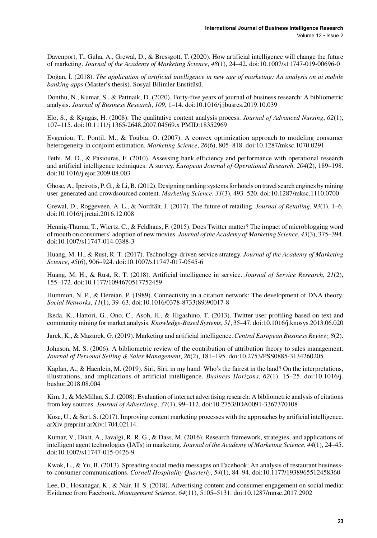Davenport, T., Guha, A., Grewal, D., & Bressgott, T. (2020). How artificial intelligence will change the future of marketing. *Journal of the Academy of Marketing Science*, *48*(1), 24–42. doi[:10.1007/s11747-019-00696-0](http://dx.doi.org/10.1007/s11747-019-00696-0)

Doğan, İ. (2018). *The application of artificial intelligence in new age of marketing: An analysis on ai mobile banking apps* (Master's thesis). Sosyal Bilimler Enstitüsü.

Donthu, N., Kumar, S., & Pattnaik, D. (2020). Forty-five years of journal of business research: A bibliometric analysis. *Journal of Business Research*, *109*, 1–14. doi[:10.1016/j.jbusres.2019.10.039](http://dx.doi.org/10.1016/j.jbusres.2019.10.039)

Elo, S., & Kyngäs, H. (2008). The qualitative content analysis process. *Journal of Advanced Nursing*, *62*(1), 107–115. doi[:10.1111/j.1365-2648.2007.04569.x](http://dx.doi.org/10.1111/j.1365-2648.2007.04569.x) PMID:[18352969](http://www.ncbi.nlm.nih.gov/pubmed/18352969)

Evgeniou, T., Pontil, M., & Toubia, O. (2007). A convex optimization approach to modeling consumer heterogeneity in conjoint estimation. *Marketing Science*, *26*(6), 805–818. doi[:10.1287/mksc.1070.0291](http://dx.doi.org/10.1287/mksc.1070.0291)

Fethi, M. D., & Pasiouras, F. (2010). Assessing bank efficiency and performance with operational research and artificial intelligence techniques: A survey. *European Journal of Operational Research*, *204*(2), 189–198. doi:[10.1016/j.ejor.2009.08.003](http://dx.doi.org/10.1016/j.ejor.2009.08.003)

Ghose, A., Ipeirotis, P. G., & Li, B. (2012). Designing ranking systems for hotels on travel search engines by mining user-generated and crowdsourced content. *Marketing Science*, *31*(3), 493–520. doi:[10.1287/mksc.1110.0700](http://dx.doi.org/10.1287/mksc.1110.0700)

Grewal, D., Roggeveen, A. L., & Nordfält, J. (2017). The future of retailing. *Journal of Retailing*, *93*(1), 1–6. doi:[10.1016/j.jretai.2016.12.008](http://dx.doi.org/10.1016/j.jretai.2016.12.008)

Hennig-Thurau, T., Wiertz, C., & Feldhaus, F. (2015). Does Twitter matter? The impact of microblogging word of mouth on consumers' adoption of new movies. *Journal of the Academy of Marketing Science*, *43*(3), 375–394. doi:[10.1007/s11747-014-0388-3](http://dx.doi.org/10.1007/s11747-014-0388-3)

Huang, M. H., & Rust, R. T. (2017). Technology-driven service strategy. *Journal of the Academy of Marketing Science*, *45*(6), 906–924. doi:[10.1007/s11747-017-0545-6](http://dx.doi.org/10.1007/s11747-017-0545-6)

Huang, M. H., & Rust, R. T. (2018). Artificial intelligence in service. *Journal of Service Research*, *21*(2), 155–172. doi:[10.1177/1094670517752459](http://dx.doi.org/10.1177/1094670517752459)

Hummon, N. P., & Dereian, P. (1989). Connectivity in a citation network: The development of DNA theory. *Social Networks*, *11*(1), 39–63. doi:[10.1016/0378-8733\(89\)90017-8](http://dx.doi.org/10.1016/0378-8733(89)90017-8)

Ikeda, K., Hattori, G., Ono, C., Asoh, H., & Higashino, T. (2013). Twitter user profiling based on text and community mining for market analysis. *Knowledge-Based Systems*, *51*, 35–47. doi:[10.1016/j.knosys.2013.06.020](http://dx.doi.org/10.1016/j.knosys.2013.06.020)

Jarek, K., & Mazurek, G. (2019). Marketing and artificial intelligence. *Central European Business Review, 8*(2).

Johnson, M. S. (2006). A bibliometric review of the contribution of attribution theory to sales management. *Journal of Personal Selling & Sales Management*, *26*(2), 181–195. doi:[10.2753/PSS0885-3134260205](http://dx.doi.org/10.2753/PSS0885-3134260205)

Kaplan, A., & Haenlein, M. (2019). Siri, Siri, in my hand: Who's the fairest in the land? On the interpretations, illustrations, and implications of artificial intelligence. *Business Horizons*, *62*(1), 15–25. doi[:10.1016/j.](http://dx.doi.org/10.1016/j.bushor.2018.08.004) [bushor.2018.08.004](http://dx.doi.org/10.1016/j.bushor.2018.08.004)

Kim, J., & McMillan, S. J. (2008). Evaluation of internet advertising research: A bibliometric analysis of citations from key sources. *Journal of Advertising*, *37*(1), 99–112. doi[:10.2753/JOA0091-3367370108](http://dx.doi.org/10.2753/JOA0091-3367370108)

Kose, U., & Sert, S. (2017). Improving content marketing processes with the approaches by artificial intelligence. arXiv preprint arXiv:1704.02114.

Kumar, V., Dixit, A., Javalgi, R. R. G., & Dass, M. (2016). Research framework, strategies, and applications of intelligent agent technologies (IATs) in marketing. *Journal of the Academy of Marketing Science*, *44*(1), 24–45. doi:[10.1007/s11747-015-0426-9](http://dx.doi.org/10.1007/s11747-015-0426-9)

Kwok, L., & Yu, B. (2013). Spreading social media messages on Facebook: An analysis of restaurant businessto-consumer communications. *Cornell Hospitality Quarterly*, *54*(1), 84–94. doi[:10.1177/1938965512458360](http://dx.doi.org/10.1177/1938965512458360)

Lee, D., Hosanagar, K., & Nair, H. S. (2018). Advertising content and consumer engagement on social media: Evidence from Facebook. *Management Science*, *64*(11), 5105–5131. doi[:10.1287/mnsc.2017.2902](http://dx.doi.org/10.1287/mnsc.2017.2902)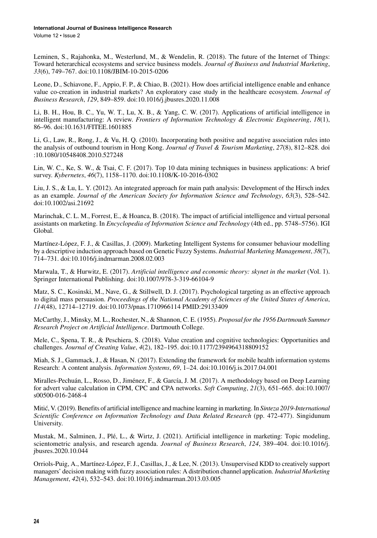Volume 12 • Issue 2

Leminen, S., Rajahonka, M., Westerlund, M., & Wendelin, R. (2018). The future of the Internet of Things: Toward heterarchical ecosystems and service business models. *Journal of Business and Industrial Marketing*, *33*(6), 749–767. doi:[10.1108/JBIM-10-2015-0206](http://dx.doi.org/10.1108/JBIM-10-2015-0206)

Leone, D., Schiavone, F., Appio, F. P., & Chiao, B. (2021). How does artificial intelligence enable and enhance value co-creation in industrial markets? An exploratory case study in the healthcare ecosystem. *Journal of Business Research*, *129*, 849–859. doi[:10.1016/j.jbusres.2020.11.008](http://dx.doi.org/10.1016/j.jbusres.2020.11.008)

Li, B. H., Hou, B. C., Yu, W. T., Lu, X. B., & Yang, C. W. (2017). Applications of artificial intelligence in intelligent manufacturing: A review. *Frontiers of Information Technology & Electronic Engineering*, *18*(1), 86–96. doi[:10.1631/FITEE.1601885](http://dx.doi.org/10.1631/FITEE.1601885)

Li, G., Law, R., Rong, J., & Vu, H. Q. (2010). Incorporating both positive and negative association rules into the analysis of outbound tourism in Hong Kong. *Journal of Travel & Tourism Marketing*, *27*(8), 812–828. doi :[10.1080/10548408.2010.527248](http://dx.doi.org/10.1080/10548408.2010.527248)

Lin, W. C., Ke, S. W., & Tsai, C. F. (2017). Top 10 data mining techniques in business applications: A brief survey. *Kybernetes*, *46*(7), 1158–1170. doi:[10.1108/K-10-2016-0302](http://dx.doi.org/10.1108/K-10-2016-0302)

Liu, J. S., & Lu, L. Y. (2012). An integrated approach for main path analysis: Development of the Hirsch index as an example. *Journal of the American Society for Information Science and Technology*, *63*(3), 528–542. doi[:10.1002/asi.21692](http://dx.doi.org/10.1002/asi.21692)

Marinchak, C. L. M., Forrest, E., & Hoanca, B. (2018). The impact of artificial intelligence and virtual personal assistants on marketing. In *Encyclopedia of Information Science and Technology* (4th ed., pp. 5748–5756). IGI Global.

Martínez-López, F. J., & Casillas, J. (2009). Marketing Intelligent Systems for consumer behaviour modelling by a descriptive induction approach based on Genetic Fuzzy Systems. *Industrial Marketing Management*, *38*(7), 714–731. doi[:10.1016/j.indmarman.2008.02.003](http://dx.doi.org/10.1016/j.indmarman.2008.02.003)

Marwala, T., & Hurwitz, E. (2017). *Artificial intelligence and economic theory: skynet in the market* (Vol. 1). Springer International Publishing. doi:[10.1007/978-3-319-66104-9](http://dx.doi.org/10.1007/978-3-319-66104-9)

Matz, S. C., Kosinski, M., Nave, G., & Stillwell, D. J. (2017). Psychological targeting as an effective approach to digital mass persuasion. *Proceedings of the National Academy of Sciences of the United States of America*, *114*(48), 12714–12719. doi[:10.1073/pnas.1710966114](http://dx.doi.org/10.1073/pnas.1710966114) PMID:[29133409](http://www.ncbi.nlm.nih.gov/pubmed/29133409)

McCarthy, J., Minsky, M. L., Rochester, N., & Shannon, C. E. (1955). *Proposal for the 1956 Dartmouth Summer Research Project on Artificial Intelligence*. Dartmouth College.

Mele, C., Spena, T. R., & Peschiera, S. (2018). Value creation and cognitive technologies: Opportunities and challenges. *Journal of Creating Value*, *4*(2), 182–195. doi[:10.1177/2394964318809152](http://dx.doi.org/10.1177/2394964318809152)

Miah, S. J., Gammack, J., & Hasan, N. (2017). Extending the framework for mobile health information systems Research: A content analysis. *Information Systems*, *69*, 1–24. doi[:10.1016/j.is.2017.04.001](http://dx.doi.org/10.1016/j.is.2017.04.001)

Miralles-Pechuán, L., Rosso, D., Jiménez, F., & García, J. M. (2017). A methodology based on Deep Learning for advert value calculation in CPM, CPC and CPA networks. *Soft Computing*, *21*(3), 651–665. doi[:10.1007/](http://dx.doi.org/10.1007/s00500-016-2468-4) [s00500-016-2468-4](http://dx.doi.org/10.1007/s00500-016-2468-4)

Mitić, V. (2019). Benefits of artificial intelligence and machine learning in marketing. In *Sinteza 2019-International Scientific Conference on Information Technology and Data Related Research* (pp. 472-477). Singidunum University.

Mustak, M., Salminen, J., Plé, L., & Wirtz, J. (2021). Artificial intelligence in marketing: Topic modeling, scientometric analysis, and research agenda. *Journal of Business Research*, *124*, 389–404. doi:[10.1016/j.](http://dx.doi.org/10.1016/j.jbusres.2020.10.044) [jbusres.2020.10.044](http://dx.doi.org/10.1016/j.jbusres.2020.10.044)

Orriols-Puig, A., Martínez-López, F. J., Casillas, J., & Lee, N. (2013). Unsupervised KDD to creatively support managers' decision making with fuzzy association rules: A distribution channel application. *Industrial Marketing Management*, *42*(4), 532–543. doi[:10.1016/j.indmarman.2013.03.005](http://dx.doi.org/10.1016/j.indmarman.2013.03.005)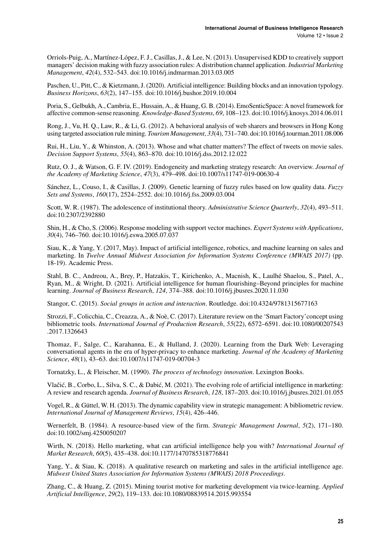Orriols-Puig, A., Martínez-López, F. J., Casillas, J., & Lee, N. (2013). Unsupervised KDD to creatively support managers' decision making with fuzzy association rules: A distribution channel application. *Industrial Marketing Management*, *42*(4), 532–543. doi[:10.1016/j.indmarman.2013.03.005](http://dx.doi.org/10.1016/j.indmarman.2013.03.005)

Paschen, U., Pitt, C., & Kietzmann, J. (2020). Artificial intelligence: Building blocks and an innovation typology. *Business Horizons*, *63*(2), 147–155. doi[:10.1016/j.bushor.2019.10.004](http://dx.doi.org/10.1016/j.bushor.2019.10.004)

Poria, S., Gelbukh, A., Cambria, E., Hussain, A., & Huang, G. B. (2014). EmoSenticSpace: A novel framework for affective common-sense reasoning. *Knowledge-Based Systems*, *69*, 108–123. doi:[10.1016/j.knosys.2014.06.011](http://dx.doi.org/10.1016/j.knosys.2014.06.011)

Rong, J., Vu, H. Q., Law, R., & Li, G. (2012). A behavioral analysis of web sharers and browsers in Hong Kong using targeted association rule mining. *Tourism Management*, *33*(4), 731–740. doi[:10.1016/j.tourman.2011.08.006](http://dx.doi.org/10.1016/j.tourman.2011.08.006)

Rui, H., Liu, Y., & Whinston, A. (2013). Whose and what chatter matters? The effect of tweets on movie sales. *Decision Support Systems*, *55*(4), 863–870. doi:[10.1016/j.dss.2012.12.022](http://dx.doi.org/10.1016/j.dss.2012.12.022)

Rutz, O. J., & Watson, G. F. IV. (2019). Endogeneity and marketing strategy research: An overview. *Journal of the Academy of Marketing Science*, *47*(3), 479–498. doi[:10.1007/s11747-019-00630-4](http://dx.doi.org/10.1007/s11747-019-00630-4)

Sánchez, L., Couso, I., & Casillas, J. (2009). Genetic learning of fuzzy rules based on low quality data. *Fuzzy Sets and Systems*, *160*(17), 2524–2552. doi[:10.1016/j.fss.2009.03.004](http://dx.doi.org/10.1016/j.fss.2009.03.004)

Scott, W. R. (1987). The adolescence of institutional theory. *Administrative Science Quarterly*, *32*(4), 493–511. doi[:10.2307/2392880](http://dx.doi.org/10.2307/2392880)

Shin, H., & Cho, S. (2006). Response modeling with support vector machines. *Expert Systems with Applications*, *30*(4), 746–760. doi[:10.1016/j.eswa.2005.07.037](http://dx.doi.org/10.1016/j.eswa.2005.07.037)

Siau, K., & Yang, Y. (2017, May). Impact of artificial intelligence, robotics, and machine learning on sales and marketing. In *Twelve Annual Midwest Association for Information Systems Conference (MWAIS 2017)* (pp. 18-19). Academic Press.

Stahl, B. C., Andreou, A., Brey, P., Hatzakis, T., Kirichenko, A., Macnish, K., Laulhé Shaelou, S., Patel, A., Ryan, M., & Wright, D. (2021). Artificial intelligence for human flourishing–Beyond principles for machine learning. *Journal of Business Research*, *124*, 374–388. doi:[10.1016/j.jbusres.2020.11.030](http://dx.doi.org/10.1016/j.jbusres.2020.11.030)

Stangor, C. (2015). *Social groups in action and interaction*. Routledge. doi[:10.4324/9781315677163](http://dx.doi.org/10.4324/9781315677163)

Strozzi, F., Colicchia, C., Creazza, A., & Noè, C. (2017). Literature review on the 'Smart Factory'concept using bibliometric tools. *International Journal of Production Research*, *55*(22), 6572–6591. doi[:10.1080/00207543](http://dx.doi.org/10.1080/00207543.2017.1326643) [.2017.1326643](http://dx.doi.org/10.1080/00207543.2017.1326643)

Thomaz, F., Salge, C., Karahanna, E., & Hulland, J. (2020). Learning from the Dark Web: Leveraging conversational agents in the era of hyper-privacy to enhance marketing. *Journal of the Academy of Marketing Science*, *48*(1), 43–63. doi:[10.1007/s11747-019-00704-3](http://dx.doi.org/10.1007/s11747-019-00704-3)

Tornatzky, L., & Fleischer, M. (1990). *The process of technology innovation*. Lexington Books.

Vlačić, B., Corbo, L., Silva, S. C., & Dabić, M. (2021). The evolving role of artificial intelligence in marketing: A review and research agenda. *Journal of Business Research*, *128*, 187–203. doi:[10.1016/j.jbusres.2021.01.055](http://dx.doi.org/10.1016/j.jbusres.2021.01.055)

Vogel, R., & Güttel, W. H. (2013). The dynamic capability view in strategic management: A bibliometric review. *International Journal of Management Reviews*, *15*(4), 426–446.

Wernerfelt, B. (1984). A resource-based view of the firm. *Strategic Management Journal*, 5(2), 171–180. doi[:10.1002/smj.4250050207](http://dx.doi.org/10.1002/smj.4250050207)

Wirth, N. (2018). Hello marketing, what can artificial intelligence help you with? *International Journal of Market Research*, *60*(5), 435–438. doi[:10.1177/1470785318776841](http://dx.doi.org/10.1177/1470785318776841)

Yang, Y., & Siau, K. (2018). A qualitative research on marketing and sales in the artificial intelligence age. *Midwest United States Association for Information Systems (MWAIS) 2018 Proceedings*.

Zhang, C., & Huang, Z. (2015). Mining tourist motive for marketing development via twice-learning. *Applied Artificial Intelligence*, *29*(2), 119–133. doi:[10.1080/08839514.2015.993554](http://dx.doi.org/10.1080/08839514.2015.993554)